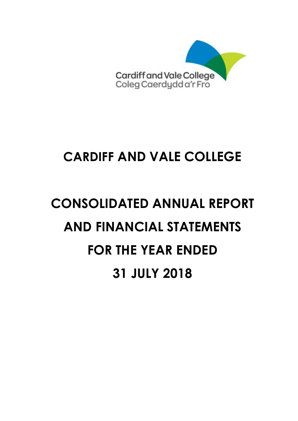![](_page_0_Picture_0.jpeg)

# **CONSOLIDATED ANNUAL REPORT AND FINANCIAL STATEMENTS FOR THE YEAR ENDED 31 JULY 2018**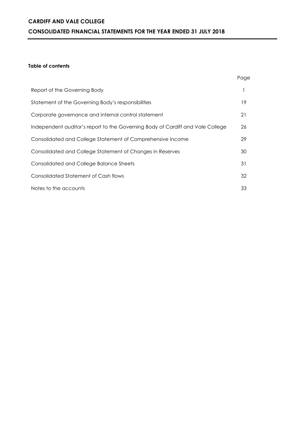# **CARDIFF AND VALE COLLEGE CONSOLIDATED FINANCIAL STATEMENTS FOR THE YEAR ENDED 31 JULY 2018**

#### **Table of contents**

|                                                                                | Page |
|--------------------------------------------------------------------------------|------|
| Report of the Governing Body                                                   |      |
| Statement of the Governing Body's responsibilities                             | 19   |
| Corporate governance and internal control statement                            | 21   |
| Independent auditor's report to the Governing Body of Cardiff and Vale College | 26   |
| Consolidated and College Statement of Comprehensive Income                     | 29   |
| Consolidated and College Statement of Changes in Reserves                      | 30   |
| <b>Consolidated and College Balance Sheets</b>                                 | 31   |
| Consolidated Statement of Cash flows                                           | 32   |
| Notes to the accounts                                                          | 33   |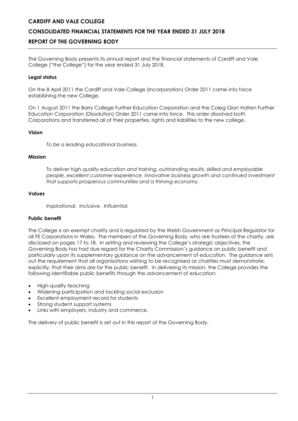# **CONSOLIDATED FINANCIAL STATEMENTS FOR THE YEAR ENDED 31 JULY 2018**

### **REPORT OF THE GOVERNING BODY**

The Governing Body presents its annual report and the financial statements of Cardiff and Vale College ("the College") for the year ended 31 July 2018.

#### **Legal status**

On the 8 April 2011 the Cardiff and Vale College (Incorporation) Order 2011 came into force establishing the new College.

On 1 August 2011 the Barry College Further Education Corporation and the Coleg Glan Hafren Further Education Corporation (Dissolution) Order 2011 came into force. This order dissolved both Corporations and transferred all of their properties, rights and liabilities to the new college.

#### **Vision**

*To be a leading educational business.*

#### **Mission**

*To deliver high quality education and training, outstanding results, skilled and employable people, excellent customer experience, innovative business growth and continued investment that supports prosperous communities and a thriving economy.*

#### **Values**

*Inspirational. Inclusive. Influential.*

#### **Public benefit**

The College is an exempt charity and is regulated by the Welsh Government as Principal Regulator for all FE Corporations in Wales. The members of the Governing Body, who are trustees of the charity, are disclosed on pages 17 to 18. In setting and reviewing the College's strategic objectives, the Governing Body has had due regard for the Charity Commission's guidance on public benefit and particularly upon its supplementary guidance on the advancement of education. The guidance sets out the requirement that all organisations wishing to be recognised as charities must demonstrate, explicitly, that their aims are for the public benefit. In delivering its mission, the College provides the following identifiable public benefits through the advancement of education:

- High-quality teaching
- Widening participation and tackling social exclusion
- Excellent employment record for students
- Strong student support systems
- Links with employers, industry and commerce.

The delivery of public benefit is set out in this report of the Governing Body.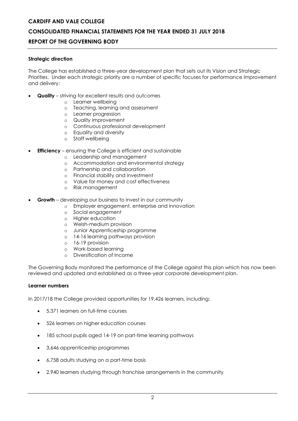# **CONSOLIDATED FINANCIAL STATEMENTS FOR THE YEAR ENDED 31 JULY 2018**

# **REPORT OF THE GOVERNING BODY**

#### **Strategic direction**

The College has established a three-year development plan that sets out its Vision and Strategic Priorities. Under each strategic priority are a number of specific focuses for performance improvement and delivery:

- **Quality**  striving for excellent results and outcomes
	- o Learner wellbeing
	- o Teaching, learning and assessment
	- o Learner progression
	- o Quality improvement
	- o Continuous professional development
	- o Equality and diversity
	- o Staff wellbeing
- **Efficiency** ensuring the College is efficient and sustainable
	- o Leadership and management
	- o Accommodation and environmental strategy
	- o Partnership and collaboration
	- o Financial stability and investment
	- o Value for money and cost effectiveness
	- o Risk management
- **Growth** developing our business to invest in our community
	- o Employer engagement, enterprise and innovation
	- o Social engagement
	- o Higher education
	- o Welsh-medium provision
	- o Junior Apprenticeship programme
	- o 14-16 learning pathways provision
	- o 16-19 provision
	- o Work-based learning
	- o Diversification of Income

The Governing Body monitored the performance of the College against this plan which has now been reviewed and updated and established as a three-year corporate development plan.

#### **Learner numbers**

In 2017/18 the College provided opportunities for 19,426 learners, including:

- 5,371 learners on full-time courses
- 526 learners on higher education courses
- 185 school pupils aged 14-19 on part-time learning pathways
- 3,646 apprenticeship programmes
- 6,758 adults studying on a part-time basis
- 2,940 learners studying through franchise arrangements in the community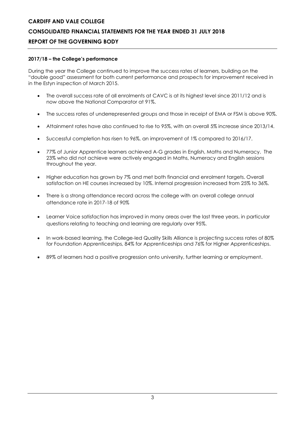#### **2017/18 – the College's performance**

During the year the College continued to improve the success rates of learners, building on the "double good" assessment for both current performance and prospects for improvement received in in the Estyn inspection of March 2015.

- The overall success rate of all enrolments at CAVC is at its highest level since 2011/12 and is now above the National Comparator at 91%.
- The success rates of underrepresented groups and those in receipt of EMA or FSM is above 90%.
- Attainment rates have also continued to rise to 95%, with an overall 5% increase since 2013/14.
- Successful completion has risen to 96%, an improvement of 1% compared to 2016/17.
- 77% of Junior Apprentice learners achieved A-G grades in English, Maths and Numeracy. The 23% who did not achieve were actively engaged in Maths, Numeracy and English sessions throughout the year.
- Higher education has grown by 7% and met both financial and enrolment targets. Overall satisfaction on HE courses increased by 10%. Internal progression increased from 25% to 36%.
- There is a strong attendance record across the college with an overall college annual attendance rate in 2017-18 of 90%
- Learner Voice satisfaction has improved in many areas over the last three years, in particular questions relating to teaching and learning are regularly over 95%.
- In work-based learning, the College-led Quality Skills Alliance is projecting success rates of 80% for Foundation Apprenticeships, 84% for Apprenticeships and 76% for Higher Apprenticeships.
- 89% of learners had a positive progression onto university, further learning or employment.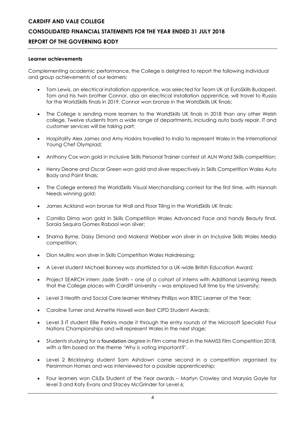# **CONSOLIDATED FINANCIAL STATEMENTS FOR THE YEAR ENDED 31 JULY 2018**

### **REPORT OF THE GOVERNING BODY**

#### **Learner achievements**

Complementing academic performance, the College is delighted to report the following individual and group achievements of our learners:

- Tom Lewis, an electrical installation apprentice, was selected for Team UK at EuroSkills Budapest. Tom and his twin brother Connor, also an electrical installation apprentice, will travel to Russia for the WorldSkills finals in 2019. Connor won bronze in the WorldSkills UK finals;
- The College is sending more learners to the WorldSkills UK finals in 2018 than any other Welsh college. Twelve students from a wide range of departments, including auto body repair, IT and customer services will be taking part;
- Hospitality Alex James and Amy Hoskins travelled to India to represent Wales in the International Young Chef Olympiad;
- Anthony Cox won gold in Inclusive Skills Personal Trainer contest at ALN World Skills competition;
- Henry Deane and Oscar Green won gold and silver respectively in Skills Competition Wales Auto Body and Paint finals;
- The College entered the WorldSkills Visual Merchandising contest for the first time, with Hannah Needs winning gold;
- James Ackland won bronze for Wall and Floor Tiling in the WorldSkills UK finals;
- Camilla Dima won gold in Skills Competition Wales Advanced Face and handy Beauty final. Soraia Sequira Gomes Rabaol won silver;
- Sharna Byrne, Daisy Dimond and Makenzi Webber won silver in an Inclusive Skills Wales Media competition;
- Dion Mullins won silver in Skills Competition Wales Hairdressing;
- A Level student Michael Bonney was shortlisted for a UK-wide British Education Award;
- Project SEARCH intern Jade Smith one of a cohort of interns with Additional Learning Needs that the College places with Cardiff University – was employed full time by the University;
- Level 3 Health and Social Care learner Whitney Phillips won BTEC Learner of the Year;
- Caroline Turner and Annette Howell won Best CIPD Student Awards;
- Level 3 IT student Ellie Perkins made it through the entry rounds of the Microsoft Specialist Four Nations Championships and will represent Wales in the next stage;
- Students studying for a foundation degree in Film came third in the NAMSS Film Competition 2018, with a film based on the theme 'Why is voting important?'.
- Level 2 Bricklaying student Sam Ashdown came second in a competition organised by Persimmon Homes and was interviewed for a possible apprenticeship;
- Four learners won CILEx Student of the Year awards Martyn Crowley and Marysia Gayle for level 3 and Katy Evans and Stacey McGrinder for Level 6;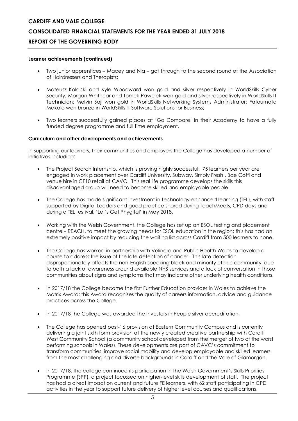### **CONSOLIDATED FINANCIAL STATEMENTS FOR THE YEAR ENDED 31 JULY 2018**

#### **REPORT OF THE GOVERNING BODY**

#### **Learner achievements (continued)**

- Two junior apprentices Macey and Nia got through to the second round of the Association of Hairdressers and Therapists;
- Mateusz Kolacki and Kyle Woodward won gold and silver respectively in WorldSkills Cyber Security; Morgan Whithear and Tomek Pawelek won gold and silver respectively in WorldSkills IT Technician; Melvin Saji won gold in WorldSkills Networking Systems Administrator; Fatoumata Makalo won bronze in WorldSkills IT Software Solutions for Business;
- Two learners successfully gained places at 'Go Compare' in their Academy to have a fully funded degree programme and full time employment.

#### **Curriculum and other developments and achievements**

In supporting our learners, their communities and employers the College has developed a number of initiatives including:

- The Project Search Internship, which is proving highly successful. 75 learners per year are engaged in work placement over Cardiff University, Subway, Simply Fresh , Bae Coffi and venue hire in CF10 retail at CAVC. This real life programme develops the skills this disadvantaged group will need to become skilled and employable people.
- The College has made significant investment in technology-enhanced learning (TEL), with staff supported by Digital Leaders and good practice shared during TeachMeets, CPD days and during a TEL festival, 'Let's Get Phygital' in May 2018.
- Working with the Welsh Government, the College has set up an ESOL testing and placement centre – REACH, to meet the growing needs for ESOL education in the region; this has had an extremely positive impact by reducing the waiting list across Cardiff from 500 learners to none.
- The College has worked in partnership with Velindre and Public Health Wales to develop a course to address the issue of the late detection of cancer. This late detection disproportionately affects the non-English speaking black and minority ethnic community, due to both a lack of awareness around available NHS services and a lack of conversation in those communities about signs and symptoms that may indicate other underlying health conditions.
- In 2017/18 the College became the first Further Education provider in Wales to achieve the Matrix Award; this Award recognises the quality of careers information, advice and guidance practices across the College.
- In 2017/18 the College was awarded the Investors in People silver accreditation.
- The College has opened post-16 provision at Eastern Community Campus and is currently delivering a joint sixth form provision at the newly created creative partnership with Cardiff West Community School (a community school developed from the merger of two of the worst performing schools in Wales). These developments are part of CAVC's commitment to transform communities, improve social mobility and develop employable and skilled learners from the most challenging and diverse backgrounds in Cardiff and the Vale of Glamorgan.
- In 2017/18, the college continued its participation in the Welsh Government's Skills Priorities Programme (SPP), a project focussed on higher-level skills development of staff. The project has had a direct impact on current and future FE learners, with 62 staff participating in CPD activities in the year to support future delivery of higher level courses and qualifications.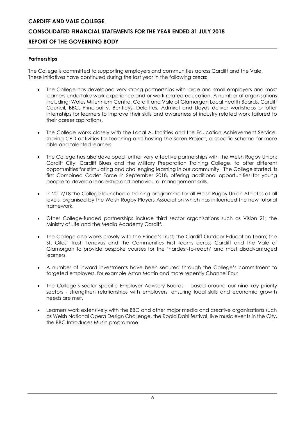#### **Partnerships**

The College is committed to supporting employers and communities across Cardiff and the Vale. These initiatives have continued during the last year in the following areas:

- The College has developed very strong partnerships with large and small employers and most learners undertake work experience and or work related education. A number of organisations including; Wales Millennium Centre, Cardiff and Vale of Glamorgan Local Health Boards, Cardiff Council, BBC, Principality, Bentleys, Deloittes, Admiral and Lloyds deliver workshops or offer internships for learners to improve their skills and awareness of industry related work tailored to their career aspirations.
- The College works closely with the Local Authorities and the Education Achievement Service, sharing CPD activities for teaching and hosting the Seren Project, a specific scheme for more able and talented learners.
- The College has also developed further very effective partnerships with the Welsh Rugby Union; Cardiff City; Cardiff Blues and the Military Preparation Training College, to offer different opportunities for stimulating and challenging learning in our community. The College started its first Combined Cadet Force in September 2018, offering additional opportunities for young people to develop leadership and behavioural management skills.
- In 2017/18 the College launched a training programme for all Welsh Rugby Union Athletes at all levels, organised by the Welsh Rugby Players Association which has influenced the new tutorial framework.
- Other College-funded partnerships include third sector organisations such as Vision 21; the Ministry of Life and the Media Academy Cardiff.
- The College also works closely with the Prince's Trust; the Cardiff Outdoor Education Team; the St. Giles' Trust; Tenovus and the Communities First teams across Cardiff and the Vale of Glamorgan to provide bespoke courses for the 'hardest-to-reach' and most disadvantaged learners.
- A number of inward investments have been secured through the College's commitment to targeted employers, for example Aston Martin and more recently Channel Four.
- The College's sector specific Employer Advisory Boards based around our nine key priority sectors - strengthen relationships with employers, ensuring local skills and economic growth needs are met.
- Learners work extensively with the BBC and other major media and creative organisations such as Welsh National Opera Design Challenge, the Roald Dahl festival, live music events in the City, the BBC Introduces Music programme.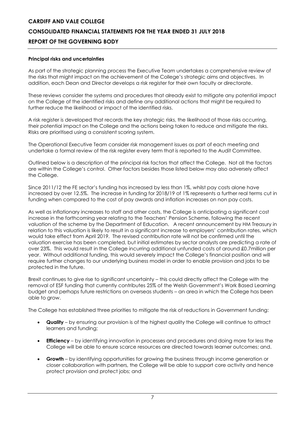#### **Principal risks and uncertainties**

As part of the strategic planning process the Executive Team undertakes a comprehensive review of the risks that might impact on the achievement of the College's strategic aims and objectives. In addition, each Dean and Director develops a risk register for their own faculty or directorate.

These reviews consider the systems and procedures that already exist to mitigate any potential impact on the College of the identified risks and define any additional actions that might be required to further reduce the likelihood or impact of the identified risks.

A risk register is developed that records the key strategic risks, the likelihood of those risks occurring, their potential impact on the College and the actions being taken to reduce and mitigate the risks. Risks are prioritised using a consistent scoring system.

The Operational Executive Team consider risk management issues as part of each meeting and undertake a formal review of the risk register every term that is reported to the Audit Committee.

Outlined below is a description of the principal risk factors that affect the College. Not all the factors are within the College's control. Other factors besides those listed below may also adversely affect the College.

Since 2011/12 the FE sector's funding has increased by less than 1%, whilst pay costs alone have increased by over 12.5%. The increase in funding for 2018/19 of 1% represents a further real terms cut in funding when compared to the cost of pay awards and inflation increases on non pay costs.

As well as inflationary increases to staff and other costs, the College is anticipating a significant cost increase in the forthcoming year relating to the Teachers' Pension Scheme, following the recent valuation of the scheme by the Department of Education. A recent announcement by HM Treasury in relation to this valuation is likely to result in a significant increase to employers' contribution rates, which would take effect from April 2019. The revised contribution rate will not be confirmed until the valuation exercise has been completed, but initial estimates by sector analysts are predicting a rate of over 23%. This would result in the College incurring additional unfunded costs of around £0.7million per year. Without additional funding, this would severely impact the College's financial position and will require further changes to our underlying business model in order to enable provision and jobs to be protected in the future.

Brexit continues to give rise to significant uncertainty – this could directly affect the College with the removal of ESF funding that currently contributes 25% of the Welsh Government's Work Based Learning budget and perhaps future restrictions on overseas students – an area in which the College has been able to grow.

The College has established three priorities to mitigate the risk of reductions in Government funding:

- **Quality** by ensuring our provision is of the highest quality the College will continue to attract learners and funding;
- **Efficiency** by identifying innovation in processes and procedures and doing more for less the College will be able to ensure scarce resources are directed towards learner outcomes; and.
- **Growth** by identifying opportunities for growing the business through income generation or closer collaboration with partners, the College will be able to support core activity and hence protect provision and protect jobs; and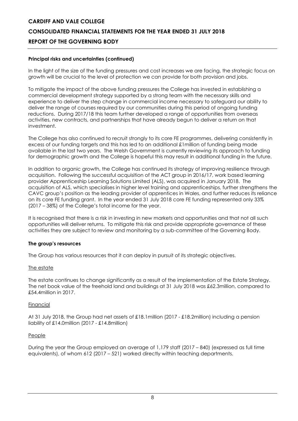#### **Principal risks and uncertainties (continued)**

In the light of the size of the funding pressures and cost increases we are facing, the strategic focus on growth will be crucial to the level of protection we can provide for both provision and jobs.

To mitigate the impact of the above funding pressures the College has invested in establishing a commercial development strategy supported by a strong team with the necessary skills and experience to deliver the step change in commercial income necessary to safeguard our ability to deliver the range of courses required by our communities during this period of ongoing funding reductions. During 2017/18 this team further developed a range of opportunities from overseas activities, new contracts, and partnerships that have already begun to deliver a return on that investment.

The College has also continued to recruit strongly to its core FE programmes, delivering consistently in excess of our funding targets and this has led to an additional £1million of funding being made available in the last two years. The Welsh Government is currently reviewing its approach to funding for demographic growth and the College is hopeful this may result in additional funding in the future.

In addition to organic growth, the College has continued its strategy of improving resilience through acquisition. Following the successful acquisition of the ACT group in 2016/17, work based learning provider Apprenticeship Learning Solutions Limited (ALS), was acquired in January 2018. The acquisition of ALS, which specialises in higher level training and apprenticeships, further strengthens the CAVC group's position as the leading provider of apprentices in Wales, and further reduces its reliance on its core FE funding grant. In the year ended 31 July 2018 core FE funding represented only 33% (2017 – 38%) of the College's total income for the year.

It is recognised that there is a risk in investing in new markets and opportunities and that not all such opportunities will deliver returns. To mitigate this risk and provide appropriate governance of these activities they are subject to review and monitoring by a sub-committee of the Governing Body.

#### **The group's resources**

The Group has various resources that it can deploy in pursuit of its strategic objectives.

#### The estate

The estate continues to change significantly as a result of the implementation of the Estate Strategy. The net book value of the freehold land and buildings at 31 July 2018 was £62.3million, compared to £54.4million in 2017.

#### Financial

At 31 July 2018, the Group had net assets of £18.1million (2017 - £18.2million) including a pension liability of £14.0million (2017 - £14.8million)

#### People

During the year the Group employed an average of 1,179 staff (2017 – 840) (expressed as full time equivalents), of whom 612 (2017 – 521) worked directly within teaching departments.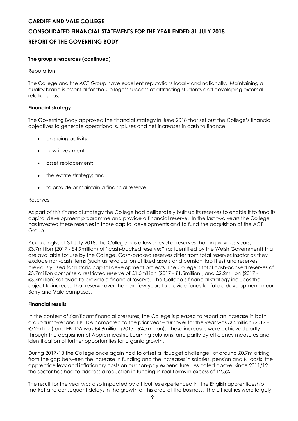# **CONSOLIDATED FINANCIAL STATEMENTS FOR THE YEAR ENDED 31 JULY 2018**

# **REPORT OF THE GOVERNING BODY**

#### **The group's resources (continued)**

#### **Reputation**

The College and the ACT Group have excellent reputations locally and nationally. Maintaining a quality brand is essential for the College's success at attracting students and developing external relationships.

#### **Financial strategy**

The Governing Body approved the financial strategy in June 2018 that set out the College's financial objectives to generate operational surpluses and net increases in cash to finance:

- on-going activity;
- new investment;
- asset replacement;
- the estate strategy; and
- to provide or maintain a financial reserve.

#### Reserves

As part of this financial strategy the College had deliberately built up its reserves to enable it to fund its capital development programme and provide a financial reserve. In the last two years the College has invested these reserves in those capital developments and to fund the acquisition of the ACT Group.

Accordingly, at 31 July 2018, the College has a lower level of reserves than in previous years, £3.7million (2017 - £4.9million) of "cash-backed reserves" (as identified by the Welsh Government) that are available for use by the College. Cash-backed reserves differ from total reserves insofar as they exclude non-cash items (such as revaluation of fixed assets and pension liabilities) and reserves previously used for historic capital development projects. The College's total cash-backed reserves of £3.7million comprise a restricted reserve of £1.5million (2017 - £1.5million), and £2.2million (2017 - £3.4million) set aside to provide a financial reserve. The College's financial strategy includes the object to increase that reserve over the next few years to provide funds for future development in our Barry and Vale campuses.

#### **Financial results**

In the context of significant financial pressures, the College is pleased to report an increase in both group turnover and EBITDA compared to the prior year – turnover for the year was £85million (2017 - £72million) and EBITDA was £4.9million (2017 - £4.7million). These increases were achieved partly through the acquisition of Apprenticeship Learning Solutions, and partly by efficiency measures and identification of further opportunities for organic growth.

During 2017/18 the College once again had to offset a "budget challenge" of around £0.7m arising from the gap between the increase in funding and the increases in salaries, pension and NI costs, the apprentice levy and inflationary costs on our non-pay expenditure. As noted above, since 2011/12 the sector has had to address a reduction in funding in real terms in excess of 12.5%

The result for the year was also impacted by difficulties experienced in the English apprenticeship market and consequent delays in the growth of this area of the business. The difficulties were largely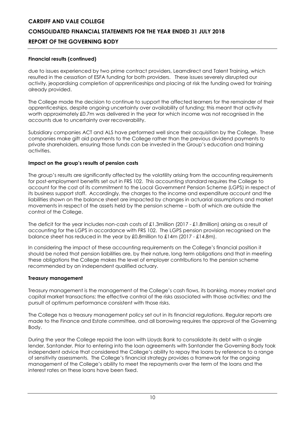#### **Financial results (continued)**

due to issues experienced by two prime contract providers, Learndirect and Talent Training, which resulted in the cessation of ESFA funding for both providers. These issues severely disrupted our activity, jeopardising completion of apprenticeships and placing at risk the funding owed for training already provided.

The College made the decision to continue to support the affected learners for the remainder of their apprenticeships, despite ongoing uncertainty over availability of funding; this meant that activity worth approximately £0.7m was delivered in the year for which income was not recognised in the accounts due to uncertainty over recoverability.

Subsidiary companies ACT and ALS have performed well since their acquisition by the College. These companies make gift aid payments to the College rather than the previous dividend payments to private shareholders, ensuring those funds can be invested in the Group's education and training activities.

#### **Impact on the group's results of pension costs**

The group's results are significantly affected by the volatility arising from the accounting requirements for post-employment benefits set out in FRS 102. This accounting standard requires the College to account for the cost of its commitment to the Local Government Pension Scheme (LGPS) in respect of its business support staff. Accordingly, the charges to the income and expenditure account and the liabilities shown on the balance sheet are impacted by changes in actuarial assumptions and market movements in respect of the assets held by the pension scheme – both of which are outside the control of the College.

The deficit for the year includes non-cash costs of £1.3million (2017 - £1.8million) arising as a result of accounting for the LGPS in accordance with FRS 102. The LGPS pension provision recognised on the balance sheet has reduced in the year by £0.8million to £14m (2017 - £14.8m).

In considering the impact of these accounting requirements on the College's financial position it should be noted that pension liabilities are, by their nature, long term obligations and that in meeting these obligations the College makes the level of employer contributions to the pension scheme recommended by an independent qualified actuary.

#### **Treasury management**

Treasury management is the management of the College's cash flows, its banking, money market and capital market transactions; the effective control of the risks associated with those activities; and the pursuit of optimum performance consistent with those risks.

The College has a treasury management policy set out in its financial regulations. Regular reports are made to the Finance and Estate committee, and all borrowing requires the approval of the Governing Body.

During the year the College repaid the loan with Lloyds Bank to consolidate its debt with a single lender, Santander. Prior to entering into the loan agreements with Santander the Governing Body took independent advice that considered the College's ability to repay the loans by reference to a range of sensitivity assessments. The College's financial strategy provides a framework for the ongoing management of the College's ability to meet the repayments over the term of the loans and the interest rates on these loans have been fixed.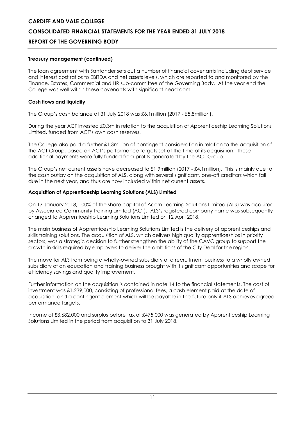#### **Treasury management (continued)**

The loan agreement with Santander sets out a number of financial covenants including debt service and interest cost ratios to EBITDA and net assets levels, which are reported to and monitored by the Finance, Estates, Commercial and HR sub-committee of the Governing Body. At the year end the College was well within these covenants with significant headroom.

#### **Cash flows and liquidity**

The Group's cash balance at 31 July 2018 was £6.1million (2017 - £5.8million).

During the year ACT invested £0.3m in relation to the acquisition of Apprenticeship Learning Solutions Limited, funded from ACT's own cash reserves.

The College also paid a further £1.3million of contingent consideration in relation to the acquisition of the ACT Group, based on ACT's performance targets set at the time of its acquisition. These additional payments were fully funded from profits generated by the ACT Group.

The Group's net current assets have decreased to £1.9million (2017 - £4.1million). This is mainly due to the cash outlay on the acquisition of ALS, along with several significant, one-off creditors which fall due in the next year, and thus are now included within net current assets.

#### **Acquisition of Apprenticeship Learning Solutions (ALS) Limited**

On 17 January 2018, 100% of the share capital of Acorn Learning Solutions Limited (ALS) was acquired by Associated Community Training Limited (ACT). ALS's registered company name was subsequently changed to Apprenticeship Learning Solutions Limited on 12 April 2018.

The main business of Apprenticeship Learning Solutions Limited is the delivery of apprenticeships and skills training solutions. The acquisition of ALS, which delivers high quality apprenticeships in priority sectors, was a strategic decision to further strengthen the ability of the CAVC group to support the growth in skills required by employers to deliver the ambitions of the City Deal for the region.

The move for ALS from being a wholly-owned subsidiary of a recruitment business to a wholly owned subsidiary of an education and training business brought with it significant opportunities and scope for efficiency savings and quality improvement.

Further information on the acquisition is contained in note 14 to the financial statements. The cost of investment was £1,239,000, consisting of professional fees, a cash element paid at the date of acquisition, and a contingent element which will be payable in the future only if ALS achieves agreed performance targets.

Income of £3,682,000 and surplus before tax of £475,000 was generated by Apprenticeship Learning Solutions Limited in the period from acquisition to 31 July 2018.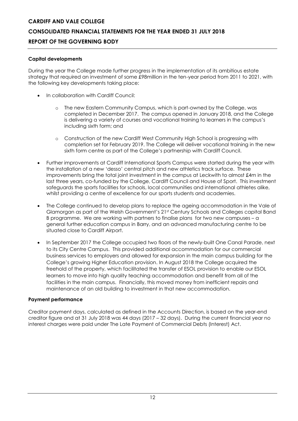#### **Capital developments**

During the year the College made further progress in the implementation of its ambitious estate strategy that required an investment of some £98million in the ten-year period from 2011 to 2021, with the following key developments taking place:

- In collaboration with Cardiff Council:
	- o The new Eastern Community Campus, which is part-owned by the College, was completed in December 2017. The campus opened in January 2018, and the College is delivering a variety of courses and vocational training to learners in the campus's including sixth form; and
	- o Construction of the new Cardiff West Community High School is progressing with completion set for February 2019. The College will deliver vocational training in the new sixth form centre as part of the College's partnership with Cardiff Council.
- Further improvements at Cardiff International Sports Campus were started during the year with the installation of a new 'desso' central pitch and new athletics track surface. These improvements bring the total joint investment in the campus at Leckwith to almost £4m in the last three years, co-funded by the College, Cardiff Council and House of Sport. This investment safeguards the sports facilities for schools, local communities and international athletes alike, whilst providing a centre of excellence for our sports students and academies.
- The College continued to develop plans to replace the ageing accommodation in the Vale of Glamorgan as part of the Welsh Government's 21st Century Schools and Colleges capital Band B programme. We are working with partners to finalise plans for two new campuses – a general further education campus in Barry, and an advanced manufacturing centre to be situated close to Cardiff Airport.
- In September 2017 the College occupied two floors of the newly-built One Canal Parade, next to its City Centre Campus. This provided additional accommodation for our commercial business services to employers and allowed for expansion in the main campus building for the College's growing Higher Education provision. In August 2018 the College acquired the freehold of the property, which facilitated the transfer of ESOL provision to enable our ESOL learners to move into high quality teaching accommodation and benefit from all of the facilities in the main campus. Financially, this moved money from inefficient repairs and maintenance of an old building to investment in that new accommodation.

#### **Payment performance**

Creditor payment days, calculated as defined in the Accounts Direction, is based on the year-end creditor figure and at 31 July 2018 was 44 days (2017 – 32 days). During the current financial year no interest charges were paid under The Late Payment of Commercial Debts (Interest) Act.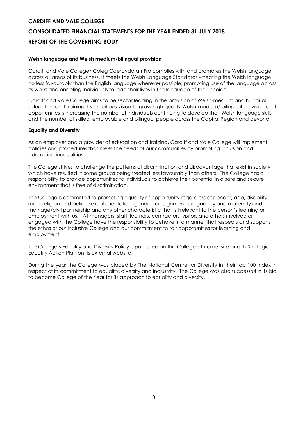#### **Welsh language and Welsh medium/bilingual provision**

Cardiff and Vale College/ Coleg Caerdydd a'r Fro complies with and promotes the Welsh language across all areas of its business. It meets the Welsh Language Standards - treating the Welsh language no less favourably than the English language wherever possible; promoting use of the language across its work; and enabling individuals to lead their lives in the language of their choice.

Cardiff and Vale College aims to be sector leading in the provision of Welsh-medium and bilingual education and training. Its ambitious vision to grow high quality Welsh-medium/ bilingual provision and opportunities is increasing the number of individuals continuing to develop their Welsh language skills and the number of skilled, employable and bilingual people across the Capital Region and beyond.

### **Equality and Diversity**

As an employer and a provider of education and training, Cardiff and Vale College will implement policies and procedures that meet the needs of our communities by promoting inclusion and addressing inequalities.

The College strives to challenge the patterns of discrimination and disadvantage that exist in society which have resulted in some groups being treated less favourably than others. The College has a responsibility to provide opportunities to individuals to achieve their potential in a safe and secure environment that is free of discrimination.

The College is committed to promoting equality of opportunity regardless of gender, age, disability, race, religion and belief, sexual orientation, gender reassignment, pregnancy and maternity and marriage/civil partnership and any other characteristic that is irrelevant to the person's learning or employment with us. All managers, staff, learners, contractors, visitors and others involved or engaged with the College have the responsibility to behave in a manner that respects and supports the ethos of our inclusive College and our commitment to fair opportunities for learning and employment.

The College's Equality and Diversity Policy is published on the College's Internet site and its Strategic Equality Action Plan on its external website.

During the year the College was placed by The National Centre for Diversity in their top 100 index in respect of its commitment to equality, diversity and inclusivity. The College was also successful in its bid to become College of the Year for its approach to equality and diversity.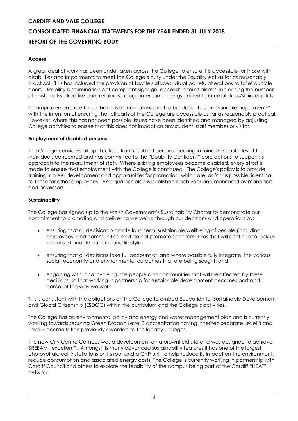#### **Access**

A great deal of work has been undertaken across the College to ensure it is accessible for those with disabilities and impairments to meet the College's duty under the Equality Act as far as reasonably practical. This has included the provision of tactile surfaces, visual panels, alterations to toilet cubicle doors, Disability Discrimination Act compliant signage, accessible toilet alarms, increasing the number of hoists, networked fire door retainers, refuge intercom, nosings added to internal steps/stairs and lifts.

The improvements are those that have been considered to be classed as "reasonable adjustments" with the intention of ensuring that all parts of the College are accessible as far as reasonably practical. However, where this has not been possible, issues have been identified and managed by adjusting College activities to ensure that this does not impact on any student, staff member or visitor.

#### **Employment of disabled persons**

The College considers all applications from disabled persons, bearing in mind the aptitudes of the individuals concerned and has committed to the "Disability Confident" core actions to support its approach to the recruitment of staff. Where existing employees become disabled, every effort is made to ensure that employment with the College is continued. The College's policy is to provide training, career development and opportunities for promotion, which are, as far as possible, identical to those for other employees. An equalities plan is published each year and monitored by managers and governors.

#### **Sustainability**

The College has signed up to the Welsh Government's Sustainability Charter to demonstrate our commitment to promoting and delivering wellbeing through our decisions and operations by:

- ensuring that all decisions promote long term, sustainable wellbeing of people (including employees) and communities, and do not promote short term fixes that will continue to lock us into unsustainable patterns and lifestyles;
- ensuring that all decisions take full account of, and where possible fully integrate, the various social, economic and environmental outcomes that are being sought; and
- engaging with, and involving, the people and communities that will be affected by these decisions, so that working in partnership for sustainable development becomes part and parcel of the way we work.

This is consistent with the obligations on the College to embed Education for Sustainable Development and Global Citizenship (ESDGC) within the curriculum and the College's activities.

The College has an environmental policy and energy and water management plan and is currently working towards securing Green Dragon Level 3 accreditation having inherited separate Level 3 and Level 4 accreditation previously awarded to the legacy Colleges.

The new City Centre Campus was a development on a brownfield site and was designed to achieve BREEAM "excellent". Amongst its many advanced sustainability features it has one of the largest photovoltaic cell installations on its roof and a CHP unit to help reduce its impact on the environment, reduce consumption and associated energy costs. The College is currently working in partnership with Cardiff Council and others to explore the feasibility of the campus being part of the Cardiff "HEAT" network.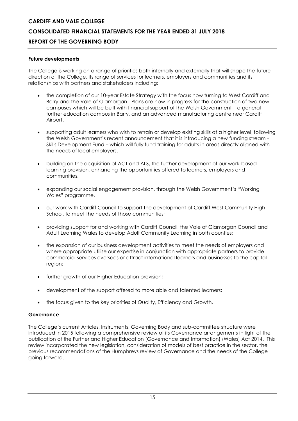#### **Future developments**

The College is working on a range of priorities both internally and externally that will shape the future direction of the College, its range of services for learners, employers and communities and its relationships with partners and stakeholders including:

- the completion of our 10-year Estate Strategy with the focus now turning to West Cardiff and Barry and the Vale of Glamorgan. Plans are now in progress for the construction of two new campuses which will be built with financial support of the Welsh Government – a general further education campus in Barry, and an advanced manufacturing centre near Cardiff Airport.
- supporting adult learners who wish to retrain or develop existing skills at a higher level, following the Welsh Government's recent announcement that it is introducing a new funding stream - Skills Development Fund – which will fully fund training for adults in areas directly aligned with the needs of local employers.
- building on the acquisition of ACT and ALS, the further development of our work-based learning provision, enhancing the opportunities offered to learners, employers and communities.
- expanding our social engagement provision, through the Welsh Government's "Working Wales" programme.
- our work with Cardiff Council to support the development of Cardiff West Community High School, to meet the needs of those communities;
- providing support for and working with Cardiff Council, the Vale of Glamorgan Council and Adult Learning Wales to develop Adult Community Learning in both counties;
- the expansion of our business development activities to meet the needs of employers and where appropriate utilise our expertise in conjunction with appropriate partners to provide commercial services overseas or attract international learners and businesses to the capital region;
- further growth of our Higher Education provision;
- development of the support offered to more able and talented learners;
- the focus given to the key priorities of Quality, Efficiency and Growth.

#### **Governance**

The College's current Articles, Instruments, Governing Body and sub-committee structure were introduced in 2015 following a comprehensive review of its Governance arrangements in light of the publication of the Further and Higher Education (Governance and Information) (Wales) Act 2014. This review incorporated the new legislation, consideration of models of best practice in the sector, the previous recommendations of the Humphreys review of Governance and the needs of the College going forward.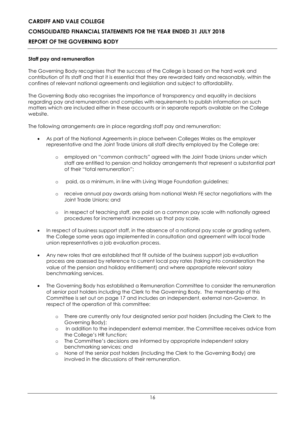#### **Staff pay and remuneration**

The Governing Body recognises that the success of the College is based on the hard work and contribution of its staff and that it is essential that they are rewarded fairly and reasonably, within the confines of relevant national agreements and legislation and subject to affordability.

The Governing Body also recognises the importance of transparency and equality in decisions regarding pay and remuneration and complies with requirements to publish information on such matters which are included either in these accounts or in separate reports available on the College website.

The following arrangements are in place regarding staff pay and remuneration:

- As part of the National Agreements in place between Colleges Wales as the employer representative and the Joint Trade Unions all staff directly employed by the College are:
	- o employed on "common contracts" agreed with the Joint Trade Unions under which staff are entitled to pension and holiday arrangements that represent a substantial part of their "total remuneration";
	- o paid, as a minimum, in line with Living Wage Foundation guidelines;
	- o receive annual pay awards arising from national Welsh FE sector negotiations with the Joint Trade Unions; and
	- o in respect of teaching staff, are paid on a common pay scale with nationally agreed procedures for incremental increases up that pay scale.
- In respect of business support staff, in the absence of a national pay scale or grading system, the College some years ago implemented in consultation and agreement with local trade union representatives a job evaluation process.
- Any new roles that are established that fit outside of the business support job evaluation process are assessed by reference to current local pay rates (taking into consideration the value of the pension and holiday entitlement) and where appropriate relevant salary benchmarking services.
- The Governing Body has established a Remuneration Committee to consider the remuneration of senior post holders including the Clerk to the Governing Body. The membership of this Committee is set out on page 17 and includes an independent, external non-Governor. In respect of the operation of this committee:
	- o There are currently only four designated senior post holders (including the Clerk to the Governing Body);
	- o In addition to the independent external member, the Committee receives advice from the College's HR function;
	- o The Committee's decisions are informed by appropriate independent salary benchmarking services; and
	- o None of the senior post holders (including the Clerk to the Governing Body) are involved in the discussions of their remuneration.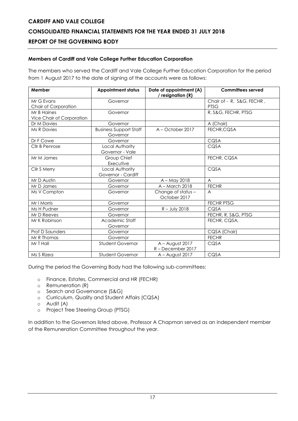### **Members of Cardiff and Vale College Further Education Corporation**

The members who served the Cardiff and Vale College Further Education Corporation for the period from 1 August 2017 to the date of signing of the accounts were as follows:

| Member                    | <b>Appointment status</b>                 | Date of appointment (A)<br>/ resignation (R) | <b>Committees served</b>  |
|---------------------------|-------------------------------------------|----------------------------------------------|---------------------------|
| Mr G Evans                | Governor                                  |                                              | Chair of - R, S&G, FECHR, |
| Chair of Corporation      |                                           |                                              | <b>PTSG</b>               |
| Mr B Haines               | Governor                                  |                                              | R, S&G, FECHR, PTSG       |
| Vice Chair of Corporation |                                           |                                              |                           |
| Dr M Davies               | Governor                                  |                                              | A (Chair)                 |
| <b>Ms R Davies</b>        | <b>Business Support Staff</b><br>Governor | A - October 2017                             | FECHR, CQSA               |
| Dr F Cowe                 | Governor                                  |                                              | CQSA                      |
| Cllr B Penrose            | Local Authority<br>Governor - Vale        |                                              | CQSA                      |
| Mr M James                | Group Chief<br>Executive                  |                                              | FECHR, CQSA               |
| Cllr S Merry              | Local Authority<br>Governor - Cardiff     |                                              | CQSA                      |
| Mr D Austin               | Governor                                  | A - May 2018                                 | A                         |
| Mr D James                | Governor                                  | A - March 2018                               | <b>FECHR</b>              |
| Ms V Compton              | Governor                                  | Change of status -<br>October 2017           | A                         |
| Mr I Morris               | Governor                                  |                                              | <b>FECHR PTSG</b>         |
| Ms H Pudner               | Governor                                  | $R - July 2018$                              | CQSA                      |
| Mr D Reeves               | Governor                                  |                                              | FECHR, R, S&G, PTSG       |
| Mr K Robinson             | Academic Staff                            |                                              | FECHR, CQSA,              |
|                           | Governor                                  |                                              |                           |
| <b>Prof D Saunders</b>    | Governor                                  |                                              | CQSA (Chair)              |
| Mr R Thomas               | Governor                                  |                                              | <b>FECHR</b>              |
| Mr T Hall                 | Student Governor                          | A - August 2017<br>R-December 2017           | CQSA                      |
| Ms S Rizea                | <b>Student Governor</b>                   | $A - August 2017$                            | CQSA                      |

During the period the Governing Body had the following sub-committees:

- o Finance, Estates, Commercial and HR (FECHR)
- o Remuneration (R)
- o Search and Governance (S&G)
- o Curriculum, Quality and Student Affairs (CQSA)
- o Audit (A)
- o Project Tree Steering Group (PTSG)

In addition to the Governors listed above, Professor A Chapman served as an independent member of the Remuneration Committee throughout the year.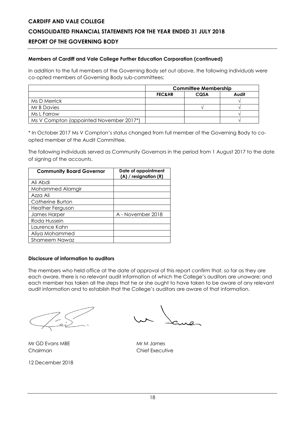#### **Members of Cardiff and Vale College Further Education Corporation (continued)**

In addition to the full members of the Governing Body set out above, the following individuals were co-opted members of Governing Body sub-committees:

|                                         | <b>Committee Membership</b> |      |       |  |
|-----------------------------------------|-----------------------------|------|-------|--|
|                                         | <b>FEC&amp;HR</b>           | CQSA | Audit |  |
| Ms D Merrick                            |                             |      |       |  |
| Mr B Davies                             |                             |      |       |  |
| Ms L Farrow                             |                             |      |       |  |
| Ms V Compton (appointed November 2017*) |                             |      |       |  |

\* In October 2017 Ms V Compton's status changed from full member of the Governing Body to coopted member of the Audit Committee.

The following individuals served as Community Governors in the period from 1 August 2017 to the date of signing of the accounts.

| <b>Community Board Governor</b> | Date of appointment<br>$(A)$ / resignation $(R)$ |
|---------------------------------|--------------------------------------------------|
| Ali Abdi                        |                                                  |
| Mohammed Alamgir                |                                                  |
| Azza Ali                        |                                                  |
| Catherine Burton                |                                                  |
| <b>Heather Ferguson</b>         |                                                  |
| James Harper                    | A - November 2018                                |
| Roda Hussein                    |                                                  |
| Laurence Kahn                   |                                                  |
| Aliya Mohammed                  |                                                  |
| Shameem Nawaz                   |                                                  |

#### **Disclosure of information to auditors**

The members who held office at the date of approval of this report confirm that, so far as they are each aware, there is no relevant audit information of which the College's auditors are unaware; and each member has taken all the steps that he or she ought to have taken to be aware of any relevant audit information and to establish that the College's auditors are aware of that information.

Mr GD Evans MBE Mr M James Chairman Chief Executive

12 December 2018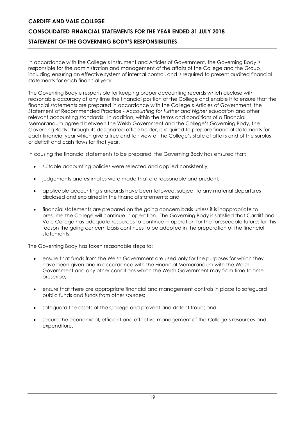# **CONSOLIDATED FINANCIAL STATEMENTS FOR THE YEAR ENDED 31 JULY 2018 STATEMENT OF THE GOVERNING BODY'S RESPONSIBILITIES**

In accordance with the College's Instrument and Articles of Government, the Governing Body is responsible for the administration and management of the affairs of the College and the Group, including ensuring an effective system of internal control, and is required to present audited financial statements for each financial year.

The Governing Body is responsible for keeping proper accounting records which disclose with reasonable accuracy at any time the financial position of the College and enable it to ensure that the financial statements are prepared in accordance with the College's Articles of Government, the Statement of Recommended Practice - *Accounting for further and higher education* and other relevant accounting standards. In addition, within the terms and conditions of a Financial Memorandum agreed between the Welsh Government and the College's Governing Body, the Governing Body, through its designated office holder, is required to prepare financial statements for each financial year which give a true and fair view of the College's state of affairs and of the surplus or deficit and cash flows for that year.

In causing the financial statements to be prepared, the Governing Body has ensured that:

- suitable accounting policies were selected and applied consistently;
- judgements and estimates were made that are reasonable and prudent;
- applicable accounting standards have been followed, subject to any material departures disclosed and explained in the financial statements; and
- financial statements are prepared on the going concern basis unless it is inappropriate to presume the College will continue in operation. The Governing Body is satisfied that Cardiff and Vale College has adequate resources to continue in operation for the foreseeable future: for this reason the going concern basis continues to be adopted in the preparation of the financial statements.

The Governing Body has taken reasonable steps to:

- ensure that funds from the Welsh Government are used only for the purposes for which they have been given and in accordance with the Financial Memorandum with the Welsh Government and any other conditions which the Welsh Government may from time to time prescribe;
- ensure that there are appropriate financial and management controls in place to safeguard public funds and funds from other sources;
- safeguard the assets of the College and prevent and detect fraud; and
- secure the economical, efficient and effective management of the College's resources and expenditure.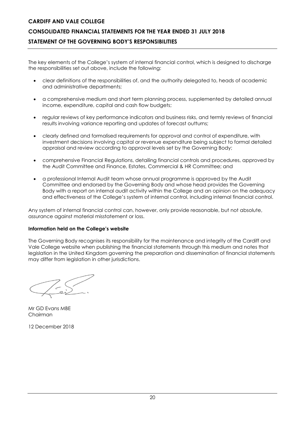# **CONSOLIDATED FINANCIAL STATEMENTS FOR THE YEAR ENDED 31 JULY 2018 STATEMENT OF THE GOVERNING BODY'S RESPONSIBILITIES**

The key elements of the College's system of internal financial control, which is designed to discharge the responsibilities set out above, include the following:

- clear definitions of the responsibilities of, and the authority delegated to, heads of academic and administrative departments;
- a comprehensive medium and short term planning process, supplemented by detailed annual income, expenditure, capital and cash flow budgets;
- regular reviews of key performance indicators and business risks, and termly reviews of financial results involving variance reporting and updates of forecast outturns;
- clearly defined and formalised requirements for approval and control of expenditure, with investment decisions involving capital or revenue expenditure being subject to formal detailed appraisal and review according to approval levels set by the Governing Body;
- comprehensive Financial Regulations, detailing financial controls and procedures, approved by the Audit Committee and Finance, Estates, Commercial & HR Committee; and
- a professional Internal Audit team whose annual programme is approved by the Audit Committee and endorsed by the Governing Body and whose head provides the Governing Body with a report on internal audit activity within the College and an opinion on the adequacy and effectiveness of the College's system of internal control, including internal financial control.

Any system of internal financial control can, however, only provide reasonable, but not absolute, assurance against material misstatement or loss.

#### **Information held on the College's website**

The Governing Body recognises its responsibility for the maintenance and integrity of the Cardiff and Vale College website when publishing the financial statements through this medium and notes that legislation in the United Kingdom governing the preparation and dissemination of financial statements may differ from legislation in other jurisdictions.

Mr GD Evans MBE Chairman

12 December 2018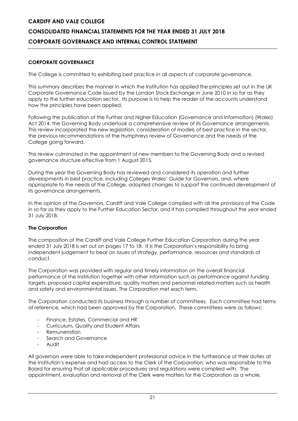### **CORPORATE GOVERNANCE**

The College is committed to exhibiting best practice in all aspects of corporate governance.

This summary describes the manner in which the Institution has applied the principles set out in the UK Corporate Governance Code issued by the London Stock Exchange in June 2010 in so far as they apply to the further education sector. Its purpose is to help the reader of the accounts understand how the principles have been applied.

Following the publication of the Further and Higher Education (Governance and Information) (Wales) Act 2014, the Governing Body undertook a comprehensive review of its Governance arrangements. This review incorporated the new legislation, consideration of models of best practice in the sector, the previous recommendations of the Humphreys review of Governance and the needs of the College going forward.

This review culminated in the appointment of new members to the Governing Body and a revised governance structure effective from 1 August 2015.

During the year the Governing Body has reviewed and considered its operation and further developments in best practice, including Colleges Wales' Guide for Governors, and, where appropriate to the needs of the College, adopted changes to support the continued development of its governance arrangements.

In the opinion of the Governors, Cardiff and Vale College complied with all the provisions of the Code in so far as they apply to the Further Education Sector, and it has complied throughout the year ended 31 July 2018.

#### **The Corporation**

The composition of the Cardiff and Vale College Further Education Corporation during the year ended 31 July 2018 is set out on pages 17 to 18. It is the Corporation's responsibility to bring independent judgement to bear on issues of strategy, performance, resources and standards of conduct.

The Corporation was provided with regular and timely information on the overall financial performance of the Institution together with other information such as performance against funding targets, proposed capital expenditure, quality matters and personnel related matters such as health and safety and environmental issues. The Corporation met each term.

The Corporation conducted its business through a number of committees. Each committee had terms of reference, which had been approved by the Corporation. These committees were as follows:

- Finance, Estates, Commercial and HR
- Curriculum, Quality and Student Affairs
- Remuneration
- Search and Governance
- Audit

All governors were able to take independent professional advice in the furtherance of their duties at the Institution's expense and had access to the Clerk of the Corporation, who was responsible to the Board for ensuring that all applicable procedures and regulations were complied with. The appointment, evaluation and removal of the Clerk were matters for the Corporation as a whole.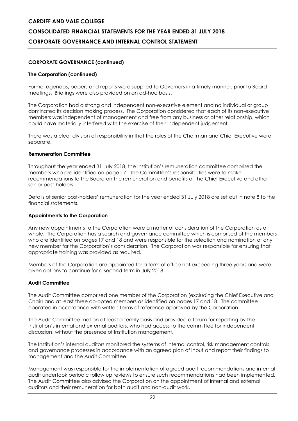### **CORPORATE GOVERNANCE (continued)**

#### **The Corporation (continued)**

Formal agendas, papers and reports were supplied to Governors in a timely manner, prior to Board meetings. Briefings were also provided on an ad-hoc basis.

The Corporation had a strong and independent non-executive element and no individual or group dominated its decision making process. The Corporation considered that each of its non-executive members was independent of management and free from any business or other relationship, which could have materially interfered with the exercise of their independent judgement.

There was a clear division of responsibility in that the roles of the Chairman and Chief Executive were separate.

#### **Remuneration Committee**

Throughout the year ended 31 July 2018, the Institution's remuneration committee comprised the members who are identified on page 17. The Committee's responsibilities were to make recommendations to the Board on the remuneration and benefits of the Chief Executive and other senior post-holders.

Details of senior post-holders' remuneration for the year ended 31 July 2018 are set out in note 8 to the financial statements.

#### **Appointments to the Corporation**

Any new appointments to the Corporation were a matter of consideration of the Corporation as a whole. The Corporation has a search and governance committee which is comprised of the members who are identified on pages 17 and 18 and were responsible for the selection and nomination of any new member for the Corporation's consideration. The Corporation was responsible for ensuring that appropriate training was provided as required.

Members of the Corporation are appointed for a term of office not exceeding three years and were given options to continue for a second term in July 2018.

#### **Audit Committee**

The Audit Committee comprised one member of the Corporation (excluding the Chief Executive and Chair) and at least three co-opted members as identified on pages 17 and 18. The committee operated in accordance with written terms of reference approved by the Corporation.

The Audit Committee met on at least a termly basis and provided a forum for reporting by the Institution's internal and external auditors, who had access to the committee for independent discussion, without the presence of Institution management.

The Institution's internal auditors monitored the systems of internal control, risk management controls and governance processes in accordance with an agreed plan of input and report their findings to management and the Audit Committee.

Management was responsible for the implementation of agreed audit recommendations and internal audit undertook periodic follow up reviews to ensure such recommendations had been implemented. The Audit Committee also advised the Corporation on the appointment of internal and external auditors and their remuneration for both audit and non-audit work.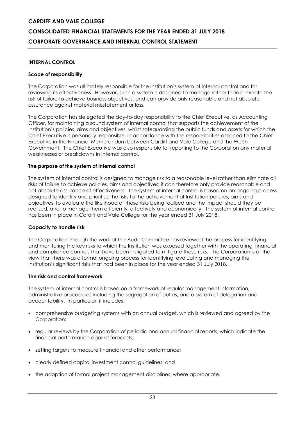#### **INTERNAL CONTROL**

#### **Scope of responsibility**

The Corporation was ultimately responsible for the Institution's system of internal control and for reviewing its effectiveness. However, such a system is designed to manage rather than eliminate the risk of failure to achieve business objectives, and can provide only reasonable and not absolute assurance against material misstatement or loss.

The Corporation has delegated the day-to-day responsibility to the Chief Executive, as Accounting Officer, for maintaining a sound system of internal control that supports the achievement of the Institution's policies, aims and objectives, whilst safeguarding the public funds and assets for which the Chief Executive is personally responsible, in accordance with the responsibilities assigned to the Chief Executive in the Financial Memorandum between Cardiff and Vale College and the Welsh Government. The Chief Executive was also responsible for reporting to the Corporation any material weaknesses or breakdowns in internal control.

#### **The purpose of the system of internal control**

The system of internal control is designed to manage risk to a reasonable level rather than eliminate all risks of failure to achieve policies, aims and objectives; it can therefore only provide reasonable and not absolute assurance of effectiveness. The system of internal control is based on an ongoing process designed to identify and prioritise the risks to the achievement of Institution policies, aims and objectives, to evaluate the likelihood of those risks being realised and the impact should they be realised, and to manage them efficiently, effectively and economically. The system of internal control has been in place in Cardiff and Vale College for the year ended 31 July 2018.

#### **Capacity to handle risk**

The Corporation through the work of the Audit Committee has reviewed the process for identifying and monitoring the key risks to which the Institution was exposed together with the operating, financial and compliance controls that have been instigated to mitigate those risks. The Corporation is of the view that there was a formal ongoing process for identifying, evaluating and managing the Institution's significant risks that had been in place for the year ended 31 July 2018.

#### **The risk and control framework**

The system of internal control is based on a framework of regular management information, administrative procedures including the segregation of duties, and a system of delegation and accountability. In particular, it includes:

- comprehensive budgeting systems with an annual budget, which is reviewed and agreed by the Corporation;
- regular reviews by the Corporation of periodic and annual financial reports, which indicate the financial performance against forecasts;
- setting targets to measure financial and other performance;
- clearly defined capital investment control guidelines; and
- the adoption of formal project management disciplines, where appropriate.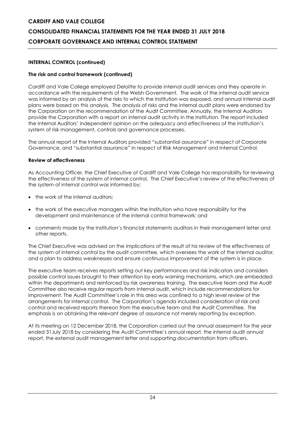### **INTERNAL CONTROL (continued)**

#### **The risk and control framework (continued)**

Cardiff and Vale College employed Deloitte to provide internal audit services and they operate in accordance with the requirements of the Welsh Government. The work of the internal audit service was informed by an analysis of the risks to which the Institution was exposed, and annual internal audit plans were based on this analysis. The analysis of risks and the internal audit plans were endorsed by the Corporation on the recommendation of the Audit Committee. Annually, the Internal Auditors provide the Corporation with a report on internal audit activity in the Institution. The report included the Internal Auditors' independent opinion on the adequacy and effectiveness of the Institution's system of risk management, controls and governance processes.

The annual report of the Internal Auditors provided "substantial assurance" in respect of Corporate Governance, and "substantial assurance" in respect of Risk Management and Internal Control.

#### **Review of effectiveness**

As Accounting Officer, the Chief Executive of Cardiff and Vale College has responsibility for reviewing the effectiveness of the system of internal control. The Chief Executive's review of the effectiveness of the system of internal control was informed by:

- the work of the internal auditors;
- the work of the executive managers within the Institution who have responsibility for the development and maintenance of the internal control framework; and
- comments made by the Institution's financial statements auditors in their management letter and other reports.

The Chief Executive was advised on the implications of the result of his review of the effectiveness of the system of internal control by the audit committee, which oversees the work of the internal auditor, and a plan to address weaknesses and ensure continuous improvement of the system is in place.

The executive team receives reports setting out key performances and risk indicators and considers possible control issues brought to their attention by early warning mechanisms, which are embedded within the departments and reinforced by risk awareness training. The executive team and the Audit Committee also receive regular reports from internal audit, which include recommendations for improvement. The Audit Committee's role in this area was confined to a high level review of the arrangements for internal control. The Corporation's agenda included consideration of risk and control and received reports thereon from the executive team and the Audit Committee. The emphasis is on obtaining the relevant degree of assurance not merely reporting by exception.

At its meeting on 12 December 2018, the Corporation carried out the annual assessment for the year ended 31July 2018 by considering the Audit Committee's annual report, the internal audit annual report, the external audit management letter and supporting documentation from officers.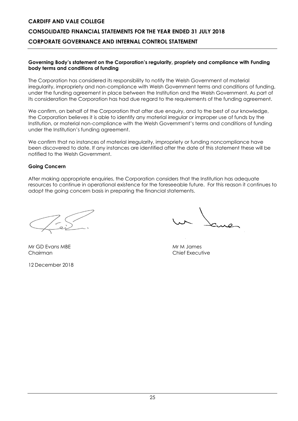#### **Governing Body's statement on the Corporation's regularity, propriety and compliance with Funding body terms and conditions of funding**

The Corporation has considered its responsibility to notify the Welsh Government of material irregularity, impropriety and non-compliance with Welsh Government terms and conditions of funding, under the funding agreement in place between the Institution and the Welsh Government. As part of its consideration the Corporation has had due regard to the requirements of the funding agreement.

We confirm, on behalf of the Corporation that after due enquiry, and to the best of our knowledge, the Corporation believes it is able to identify any material irregular or improper use of funds by the Institution, or material non-compliance with the Welsh Government's terms and conditions of funding under the Institution's funding agreement.

We confirm that no instances of material irregularity, impropriety or funding noncompliance have been discovered to date. If any instances are identified after the date of this statement these will be notified to the Welsh Government.

#### **Going Concern**

After making appropriate enquiries, the Corporation considers that the Institution has adequate resources to continue in operational existence for the foreseeable future. For this reason it continues to adopt the going concern basis in preparing the financial statements.

Mr GD Evans MBE Material Contract of the Mr M James Chairman Chief Executive

12 December 2018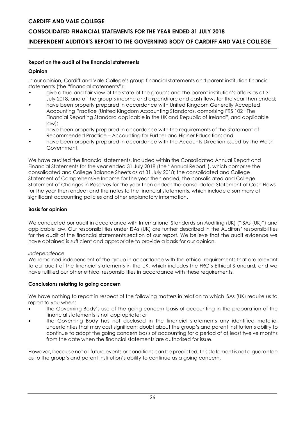# **CONSOLIDATED FINANCIAL STATEMENTS FOR THE YEAR ENDED 31 JULY 2018 INDEPENDENT AUDITOR'S REPORT TO THE GOVERNING BODY OF CARDIFF AND VALE COLLEGE**

### **Report on the audit of the financial statements**

# **Opinion**

In our opinion, Cardiff and Vale College's group financial statements and parent institution financial statements (the "financial statements"):

- give a true and fair view of the state of the group's and the parent institution's affairs as at 31 July 2018, and of the group's income and expenditure and cash flows for the year then ended;
- have been properly prepared in accordance with United Kingdom Generally Accepted Accounting Practice (United Kingdom Accounting Standards, comprising FRS 102 "The Financial Reporting Standard applicable in the UK and Republic of Ireland", and applicable law);
- have been properly prepared in accordance with the requirements of the Statement of Recommended Practice – Accounting for Further and Higher Education; and
- have been properly prepared in accordance with the Accounts Direction issued by the Welsh Government.

We have audited the financial statements, included within the Consolidated Annual Report and Financial Statements for the year ended 31 July 2018 (the "Annual Report"), which comprise the consolidated and College Balance Sheets as at 31 July 2018; the consolidated and College Statement of Comprehensive Income for the year then ended; the consolidated and College Statement of Changes in Reserves for the year then ended; the consolidated Statement of Cash Flows for the year then ended; and the notes to the financial statements, which include a summary of significant accounting policies and other explanatory information.

### **Basis for opinion**

We conducted our audit in accordance with International Standards on Auditing (UK) ("ISAs (UK)") and applicable law. Our responsibilities under ISAs (UK) are further described in the Auditors' responsibilities for the audit of the financial statements section of our report. We believe that the audit evidence we have obtained is sufficient and appropriate to provide a basis for our opinion.

#### *Independence*

We remained independent of the group in accordance with the ethical requirements that are relevant to our audit of the financial statements in the UK, which includes the FRC's Ethical Standard, and we have fulfilled our other ethical responsibilities in accordance with these requirements.

#### **Conclusions relating to going concern**

We have nothing to report in respect of the following matters in relation to which ISAs (UK) require us to report to you when:

- the Governing Body's use of the going concern basis of accounting in the preparation of the financial statements is not appropriate; or
- the Governing Body has not disclosed in the financial statements any identified material uncertainties that may cast significant doubt about the group's and parent institution's ability to continue to adopt the going concern basis of accounting for a period of at least twelve months from the date when the financial statements are authorised for issue.

However, because not all future events or conditions can be predicted, this statement is not a guarantee as to the group's and parent institution's ability to continue as a going concern.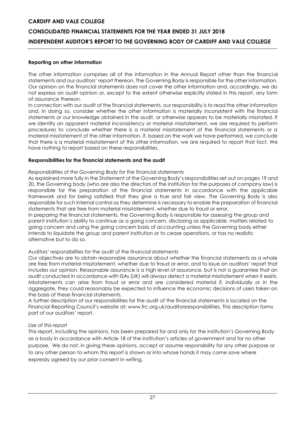# **CONSOLIDATED FINANCIAL STATEMENTS FOR THE YEAR ENDED 31 JULY 2018 INDEPENDENT AUDITOR'S REPORT TO THE GOVERNING BODY OF CARDIFF AND VALE COLLEGE**

#### **Reporting on other information**

The other information comprises all of the information in the Annual Report other than the financial statements and our auditors' report thereon. The Governing Body is responsible for the other information. Our opinion on the financial statements does not cover the other information and, accordingly, we do not express an audit opinion or, except to the extent otherwise explicitly stated in this report, any form of assurance thereon.

In connection with our audit of the financial statements, our responsibility is to read the other information and, in doing so, consider whether the other information is materially inconsistent with the financial statements or our knowledge obtained in the audit, or otherwise appears to be materially misstated. If we identify an apparent material inconsistency or material misstatement, we are required to perform procedures to conclude whether there is a material misstatement of the financial statements or a material misstatement of the other information. If, based on the work we have performed, we conclude that there is a material misstatement of this other information, we are required to report that fact. We have nothing to report based on these responsibilities.

### **Responsibilities for the financial statements and the audit**

### *Responsibilities of the Governing Body for the financial statements*

As explained more fully in the Statement of the Governing Body's responsibilities set out on pages 19 and 20, the Governing body (who are also the directors of the institution for the purposes of company law) is responsible for the preparation of the financial statements in accordance with the applicable framework and for being satisfied that they give a true and fair view. The Governing Body is also responsible for such internal control as they determine is necessary to enable the preparation of financial statements that are free from material misstatement, whether due to fraud or error.

In preparing the financial statements, the Governing Body is responsible for assessing the group and parent institution's ability to continue as a going concern, disclosing as applicable, matters related to going concern and using the going concern basis of accounting unless the Governing body either intends to liquidate the group and parent institution or to cease operations, or has no realistic alternative but to do so.

#### *Auditors' responsibilities for the audit of the financial statements*

Our objectives are to obtain reasonable assurance about whether the financial statements as a whole are free from material misstatement, whether due to fraud or error, and to issue an auditors' report that includes our opinion. Reasonable assurance is a high level of assurance, but is not a guarantee that an audit conducted in accordance with ISAs (UK) will always detect a material misstatement when it exists. Misstatements can arise from fraud or error and are considered material if, individually or in the aggregate, they could reasonably be expected to influence the economic decisions of users taken on the basis of these financial statements.

A further description of our responsibilities for the audit of the financial statements is located on the Financial Reporting Council's website at: www.frc.org.uk/auditorsresponsibilities. This description forms part of our auditors' report.

# *Use of this report*

This report, including the opinions, has been prepared for and only for the institution's Governing Body as a body in accordance with Article 18 of the institution's articles of government and for no other purpose. We do not, in giving these opinions, accept or assume responsibility for any other purpose or to any other person to whom this report is shown or into whose hands it may come save where expressly agreed by our prior consent in writing.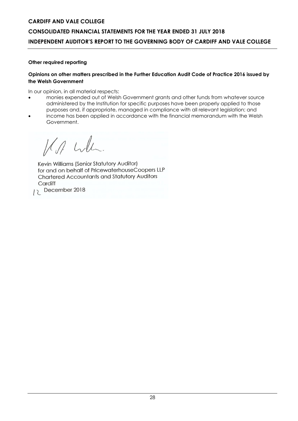# **CONSOLIDATED FINANCIAL STATEMENTS FOR THE YEAR ENDED 31 JULY 2018 INDEPENDENT AUDITOR'S REPORT TO THE GOVERNING BODY OF CARDIFF AND VALE COLLEGE**

#### **Other required reporting**

### **Opinions on other matters prescribed in the Further Education Audit Code of Practice 2016 issued by the Welsh Government**

In our opinion, in all material respects:

- monies expended out of Welsh Government grants and other funds from whatever source administered by the Institution for specific purposes have been properly applied to those purposes and, if appropriate, managed in compliance with all relevant legislation; and
- income has been applied in accordance with the financial memorandum with the Welsh Government.

Kevin Williams (Senior Statutory Auditor) for and on behalf of PricewaterhouseCoopers LLP **Chartered Accountants and Statutory Auditors** Cardiff

 $12$  December 2018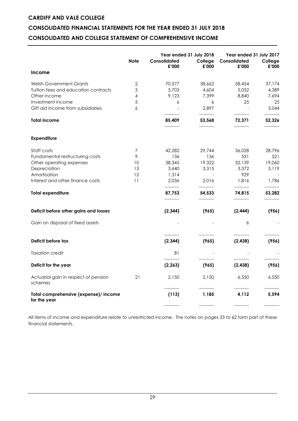# **CONSOLIDATED FINANCIAL STATEMENTS FOR THE YEAR ENDED 31 JULY 2018**

# **CONSOLIDATED AND COLLEGE STATEMENT OF COMPREHENSIVE INCOME**

| <b>Note</b>         | Consolidated         | College<br>£'000                                     | Year ended 31 July 2017<br>Consolidated                   | College<br>£'000         |
|---------------------|----------------------|------------------------------------------------------|-----------------------------------------------------------|--------------------------|
|                     |                      |                                                      |                                                           |                          |
| $\overline{2}$<br>3 | 70,577<br>5,703      | 38,662<br>4,604                                      | 58,454<br>5,052                                           | 37,174<br>4,389          |
| 5<br>6              | 6                    | 6<br>2,897                                           | 25<br>$\sim$                                              | 7,694<br>25<br>3,044     |
|                     | 85,409               | ----------<br>53,568                                 | 72,371                                                    | 52,326                   |
|                     |                      |                                                      |                                                           |                          |
| 7<br>9              | 42,282<br>136        | 29,744<br>136                                        | 36,028<br>531                                             | 28,796<br>521            |
| 13<br>12            | 3,640<br>1,314       | 3,315                                                | 3,372<br>929                                              | 19,060<br>3,119          |
| 11                  | 2,036                | 2,016                                                | 1,816                                                     | 1,786                    |
|                     | 87,753<br>---------- | 54,533<br>----------                                 | 74,815<br>----------                                      | 53,282<br>-----------    |
|                     | (2, 344)             | (965)                                                | (2, 444)                                                  | (956)                    |
|                     |                      |                                                      | 6                                                         |                          |
|                     | (2, 344)             | (965)                                                | (2, 438)                                                  | (956)                    |
|                     | 81                   |                                                      |                                                           |                          |
|                     | (2, 263)             | (965)                                                | (2, 438)                                                  | (956)                    |
| 21                  | 2,150                | 2,150                                                | 6,550<br>-----------                                      | 6,550                    |
|                     | (113)<br>----------  | 1,185                                                | 4,112                                                     | 5,594                    |
|                     | 4<br>10              | £'000<br>9,123<br>38,345<br>----------<br>---------- | Year ended 31 July 2018<br>7,399<br>19,322<br>----------- | £'000<br>8,840<br>32,139 |

All items of income and expenditure relate to unrestricted income. The notes on pages 33 to 62 form part of these financial statements.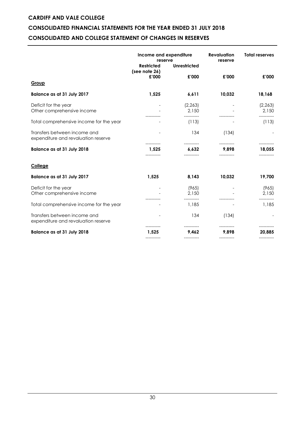# **CONSOLIDATED FINANCIAL STATEMENTS FOR THE YEAR ENDED 31 JULY 2018**

# **CONSOLIDATED AND COLLEGE STATEMENT OF CHANGES IN RESERVES**

|                                                                     | Income and expenditure<br>reserve<br><b>Unrestricted</b><br><b>Restricted</b> |                      | <b>Revaluation</b><br>reserve | <b>Total reserves</b> |  |
|---------------------------------------------------------------------|-------------------------------------------------------------------------------|----------------------|-------------------------------|-----------------------|--|
| Group                                                               | (see note 26)<br>£'000                                                        | £'000                | £'000                         | £'000                 |  |
| Balance as at 31 July 2017                                          | 1,525                                                                         | 6,611                | 10,032                        | 18,168                |  |
| Deficit for the year<br>Other comprehensive income                  |                                                                               | (2, 263)<br>2,150    |                               | (2, 263)<br>2,150     |  |
| Total comprehensive income for the year                             |                                                                               | (113)                |                               | (113)                 |  |
| Transfers between income and<br>expenditure and revaluation reserve |                                                                               | 134                  | (134)                         |                       |  |
| Balance as at 31 July 2018                                          | 1,525                                                                         | -----------<br>6,632 | ----------<br>9,898           | ----------<br>18,055  |  |
| College                                                             |                                                                               |                      |                               |                       |  |
| Balance as at 31 July 2017                                          | 1,525                                                                         | 8,143                | 10,032                        | 19,700                |  |
| Deficit for the year<br>Other comprehensive income                  |                                                                               | (965)<br>2,150       |                               | (965)<br>2,150        |  |
| Total comprehensive income for the year                             |                                                                               | 1,185                |                               | 1,185                 |  |
| Transfers between income and<br>expenditure and revaluation reserve |                                                                               | 134                  | (134)                         |                       |  |
| Balance as at 31 July 2018                                          | 1,525                                                                         | 9,462                | 9,898                         | 20,885                |  |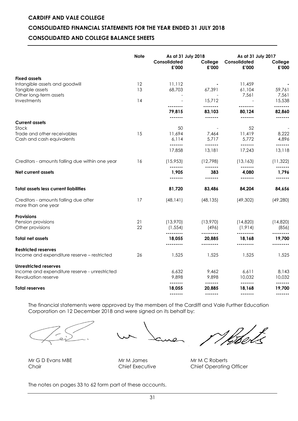### **CONSOLIDATED FINANCIAL STATEMENTS FOR THE YEAR ENDED 31 JULY 2018**

### **CONSOLIDATED AND COLLEGE BALANCE SHEETS**

|                                                                      | <b>Note</b> | Consolidated<br>£'000 | As at 31 July 2018<br>College<br>£'000 | Consolidated<br>£'000 | As at 31 July 2017<br>College<br>£'000 |
|----------------------------------------------------------------------|-------------|-----------------------|----------------------------------------|-----------------------|----------------------------------------|
| <b>Fixed assets</b>                                                  |             |                       |                                        |                       |                                        |
| Intangible assets and goodwill                                       | 12          | 11,112                |                                        | 11,459                |                                        |
| Tangible assets<br>Other long-term assets                            | 13          | 68,703                | 67,391                                 | 61,104<br>7,561       | 59,761<br>7,561                        |
| Investments                                                          | 14          |                       | 15,712                                 |                       | 15,538                                 |
|                                                                      |             | 79,815                | --------<br>83,103                     | .<br>80,124           | <br>82,860                             |
|                                                                      |             |                       | -------                                | -------               | -------                                |
| <b>Current assets</b><br>Stock                                       |             | 50                    |                                        | 52                    |                                        |
| Trade and other receivables                                          | 15          | 11,694                | 7,464                                  | 11,419                | 8,222                                  |
| Cash and cash equivalents                                            |             | 6,114                 | 5,717                                  | 5,772                 | 4,896                                  |
|                                                                      |             | -------<br>17,858     | -------<br>13,181                      | -------<br>17,243     | -------<br>13,118                      |
|                                                                      |             |                       |                                        |                       |                                        |
| Creditors - amounts falling due within one year                      | 16          | (15,953)<br>-------   | (12,798)<br>-------                    | (13, 163)<br>-------  | (11, 322)                              |
| Net current assets                                                   |             | 1,905<br>-------      | 383<br>-------                         | 4.080<br>-------      | 1.796<br>                              |
| <b>Total assets less current liabilities</b>                         |             | 81,720                | 83,486                                 | 84,204                | 84,656                                 |
| Creditors - amounts falling due after<br>more than one year          | 17          | (48, 141)             | (48, 135)                              | (49, 302)             | (49, 280)                              |
| <b>Provisions</b>                                                    |             |                       |                                        |                       |                                        |
| Pension provisions                                                   | 21          | (13,970)              | (13,970)                               | (14,820)              | (14,820)                               |
| Other provisions                                                     | 22          | (1, 554)<br>          | (496)                                  | (1, 914)<br>          | (856)                                  |
| <b>Total net assets</b>                                              |             | 18,055                | 20,885                                 | 18,168                | 19,700                                 |
| <b>Restricted reserves</b>                                           |             |                       |                                        |                       |                                        |
| Income and expenditure reserve - restricted                          | 26          | 1,525                 | 1,525                                  | 1,525                 | 1,525                                  |
| Unrestricted reserves                                                |             |                       |                                        |                       |                                        |
| Income and expenditure reserve - unrestricted<br>Revaluation reserve |             | 6,632<br>9,898        | 9,462<br>9,898                         | 6,611<br>10,032       | 8,143<br>10,032                        |
| <b>Total reserves</b>                                                |             | -------<br>18,055     | <br>20,885                             | -------<br>18,168     | -------<br>19,700                      |
|                                                                      |             | -------               | -------                                | -------               | -------                                |

The financial statements were approved by the members of the Cardiff and Vale Further Education Corporation on 12 December 2018 and were signed on its behalf by:

![](_page_32_Picture_5.jpeg)

Mr G D Evans MBE Mr M James Mr M C Roberts

Chair Chair Chief Executive Chief Operating Officer

The notes on pages 33 to 62 form part of these accounts.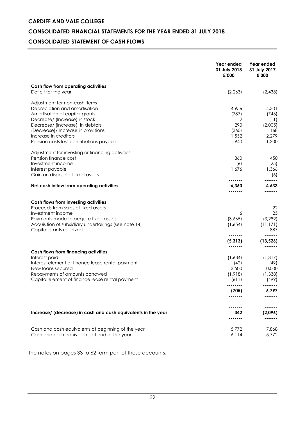# **CONSOLIDATED FINANCIAL STATEMENTS FOR THE YEAR ENDED 31 JULY 2018**

# **CONSOLIDATED STATEMENT OF CASH FLOWS**

|                                                                                 | Year ended<br>31 July 2018<br>£'000 | Year ended<br>31 July 2017<br>£'000 |
|---------------------------------------------------------------------------------|-------------------------------------|-------------------------------------|
| Cash flow from operating activities                                             |                                     |                                     |
| Deficit for the year                                                            | (2, 263)                            | (2,438)                             |
| Adjustment for non-cash items                                                   |                                     |                                     |
| Depreciation and amortisation                                                   | 4,956                               | 4,301                               |
| Amortisation of capital grants                                                  | (787)                               | (746)                               |
| Decrease/ (Increase) in stock                                                   | 2<br>290                            | (11)                                |
| Decrease/ (Increase) in debtors<br>(Decrease)/ Increase in provisions           | (360)                               | (2,005)<br>168                      |
| Increase in creditors                                                           | 1,552                               | 2,279                               |
| Pension costs less contributions payable                                        | 940                                 | 1,300                               |
| Adjustment for investing or financing activities                                |                                     |                                     |
| Pension finance cost                                                            | 360                                 | 450                                 |
| Investment income                                                               | (6)                                 | (25)                                |
| Interest payable                                                                | 1,676                               | 1,366                               |
| Gain on disposal of fixed assets                                                |                                     | (6)<br>.                            |
| Net cash inflow from operating activities                                       | 6,360                               | 4,633                               |
|                                                                                 |                                     |                                     |
| <b>Cash flows from investing activities</b>                                     |                                     |                                     |
| Proceeds from sales of fixed assets                                             |                                     | 22                                  |
| Investment income                                                               | 6                                   | 25                                  |
| Payments made to acquire fixed assets                                           | (3,665)                             | (3,289)                             |
| Acquisition of subsidiary undertakings (see note 14)<br>Capital grants received | (1,654)                             | (11,171)<br>887                     |
|                                                                                 |                                     |                                     |
|                                                                                 | (5, 313)                            | (13, 526)                           |
| <b>Cash flows from financing activities</b>                                     |                                     |                                     |
| Interest paid                                                                   | (1,634)                             | (1, 317)                            |
| Interest element of finance lease rental payment                                | (42)                                | (49)                                |
| New loans secured                                                               | 3,500                               | 10,000                              |
| Repayments of amounts borrowed                                                  | (1,918)                             | (1,338)                             |
| Capital element of finance lease rental payment                                 | (611)                               | (499)                               |
|                                                                                 | (705)                               | 6,797                               |
|                                                                                 |                                     |                                     |
| Increase/ (decrease) in cash and cash equivalents in the year                   | 342                                 | (2,096)                             |
|                                                                                 | .                                   |                                     |
| Cash and cash equivalents at beginning of the year                              | 5,772                               | 7,868                               |
| Cash and cash equivalents at end of the year                                    | 6,114                               | 5,772                               |

The notes on pages 33 to 62 form part of these accounts.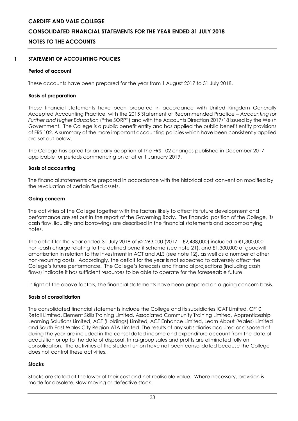# **CARDIFF AND VALE COLLEGE CONSOLIDATED FINANCIAL STATEMENTS FOR THE YEAR ENDED 31 JULY 2018 NOTES TO THE ACCOUNTS**

#### **1 STATEMENT OF ACCOUNTING POLICIES**

#### **Period of account**

These accounts have been prepared for the year from 1 August 2017 to 31 July 2018.

#### **Basis of preparation**

These financial statements have been prepared in accordance with United Kingdom Generally Accepted Accounting Practice, with the 2015 Statement of Recommended Practice – *Accounting for Further and Higher Education* ("the SORP") and with the Accounts Direction 2017/18 issued by the Welsh Government. The College is a public benefit entity and has applied the public benefit entity provisions of FRS 102. A summary of the more important accounting policies which have been consistently applied are set out below.

The College has opted for an early adoption of the FRS 102 changes published in December 2017 applicable for periods commencing on or after 1 January 2019.

#### **Basis of accounting**

The financial statements are prepared in accordance with the historical cost convention modified by the revaluation of certain fixed assets.

#### **Going concern**

The activities of the College together with the factors likely to affect its future development and performance are set out in the report of the Governing Body. The financial position of the College, its cash flow, liquidity and borrowings are described in the financial statements and accompanying notes.

The deficit for the year ended 31 July 2018 of £2,263,000 (2017 – £2,438,000) included a £1,300,000 non-cash charge relating to the defined benefit scheme (see note 21), and £1,300,000 of goodwill amortisation in relation to the investment in ACT and ALS (see note 12), as well as a number of other non-recurring costs. Accordingly, the deficit for the year is not expected to adversely affect the College's future performance. The College's forecasts and financial projections (including cash flows) indicate it has sufficient resources to be able to operate for the foreseeable future.

In light of the above factors, the financial statements have been prepared on a going concern basis.

#### **Basis of consolidation**

The consolidated financial statements include the College and its subsidiaries ICAT Limited, CF10 Retail Limited, Element Skills Training Limited, Associated Community Training Limited, Apprenticeship Learning Solutions Limited, ACT (Holdings) Limited, ACT Enhance Limited, Learn About (Wales) Limited and South East Wales City Region ATA Limited. The results of any subsidiaries acquired or disposed of during the year are included in the consolidated income and expenditure account from the date of acquisition or up to the date of disposal. Intra-group sales and profits are eliminated fully on consolidation. The activities of the student union have not been consolidated because the College does not control these activities.

#### **Stocks**

Stocks are stated at the lower of their cost and net realisable value. Where necessary, provision is made for obsolete, slow moving or defective stock.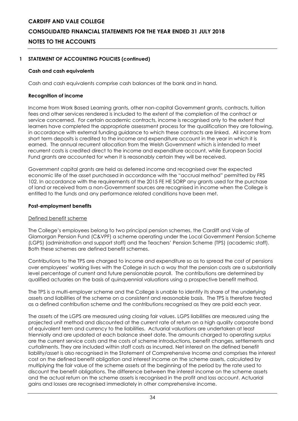# **CARDIFF AND VALE COLLEGE CONSOLIDATED FINANCIAL STATEMENTS FOR THE YEAR ENDED 31 JULY 2018 NOTES TO THE ACCOUNTS**

#### **1 STATEMENT OF ACCOUNTING POLICIES (continued)**

#### **Cash and cash equivalents**

Cash and cash equivalents comprise cash balances at the bank and in hand.

#### **Recognition of income**

Income from Work Based Learning grants, other non-capital Government grants, contracts, tuition fees and other services rendered is included to the extent of the completion of the contract or service concerned. For certain academic contracts, income is recognised only to the extent that learners have completed the appropriate assessment process for the qualification they are following, in accordance with external funding guidance to which these contracts are linked. All income from short term deposits is credited to the income and expenditure account in the year in which it is earned. The annual recurrent allocation from the Welsh Government which is intended to meet recurrent costs is credited direct to the income and expenditure account, while European Social Fund grants are accounted for when it is reasonably certain they will be received.

Government capital grants are held as deferred income and recognised over the expected economic life of the asset purchased in accordance with the "accrual method" permitted by FRS 102. In accordance with the requirements of the 2015 FE HE SORP any grants used for the purchase of land or received from a non-Government sources are recognised in income when the College is entitled to the funds and any performance related conditions have been met.

#### **Post-employment benefits**

#### Defined benefit scheme

The College's employees belong to two principal pension schemes, the Cardiff and Vale of Glamorgan Pension Fund (C&VPF) a scheme operating under the Local Government Pension Scheme (LGPS) (administration and support staff) and the Teachers' Pension Scheme (TPS) (academic staff). Both these schemes are defined benefit schemes.

Contributions to the TPS are charged to income and expenditure so as to spread the cost of pensions over employees' working lives with the College in such a way that the pension costs are a substantially level percentage of current and future pensionable payroll. The contributions are determined by qualified actuaries on the basis of quinquennial valuations using a prospective benefit method.

The TPS is a multi-employer scheme and the College is unable to identify its share of the underlying assets and liabilities of the scheme on a consistent and reasonable basis. The TPS is therefore treated as a defined contribution scheme and the contributions recognised as they are paid each year.

The assets of the LGPS are measured using closing fair values. LGPS liabilities are measured using the projected unit method and discounted at the current rate of return on a high quality corporate bond of equivalent term and currency to the liabilities. Actuarial valuations are undertaken at least triennially and are updated at each balance sheet date. The amounts charged to operating surplus are the current service costs and the costs of scheme introductions, benefit changes, settlements and curtailments. They are included within staff costs as incurred. Net interest on the defined benefit liability/asset is also recognised in the Statement of Comprehensive Income and comprises the interest cost on the defined benefit obligation and interest income on the scheme assets, calculated by multiplying the fair value of the scheme assets at the beginning of the period by the rate used to discount the benefit obligations. The difference between the interest income on the scheme assets and the actual return on the scheme assets is recognised in the profit and loss account. Actuarial gains and losses are recognised immediately in other comprehensive income.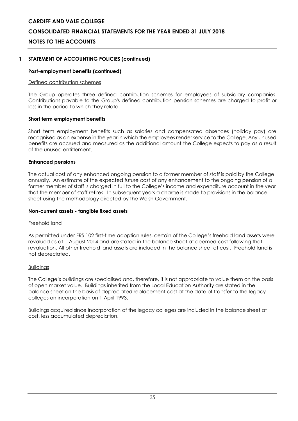# **CONSOLIDATED FINANCIAL STATEMENTS FOR THE YEAR ENDED 31 JULY 2018**

### **NOTES TO THE ACCOUNTS**

#### **1 STATEMENT OF ACCOUNTING POLICIES (continued)**

#### **Post-employment benefits (continued)**

#### Defined contribution schemes

The Group operates three defined contribution schemes for employees of subsidiary companies. Contributions payable to the Group's defined contribution pension schemes are charged to profit or loss in the period to which they relate.

#### **Short term employment benefits**

Short term employment benefits such as salaries and compensated absences (holiday pay) are recognised as an expense in the year in which the employees render service to the College. Any unused benefits are accrued and measured as the additional amount the College expects to pay as a result of the unused entitlement.

#### **Enhanced pensions**

The actual cost of any enhanced ongoing pension to a former member of staff is paid by the College annually. An estimate of the expected future cost of any enhancement to the ongoing pension of a former member of staff is charged in full to the College's income and expenditure account in the year that the member of staff retires. In subsequent years a charge is made to provisions in the balance sheet using the methodology directed by the Welsh Government.

#### **Non-current assets - tangible fixed assets**

#### Freehold land

As permitted under FRS 102 first-time adoption rules, certain of the College's freehold land assets were revalued as at 1 August 2014 and are stated in the balance sheet at deemed cost following that revaluation. All other freehold land assets are included in the balance sheet at cost. Freehold land is not depreciated.

#### Buildings

The College's buildings are specialised and, therefore, it is not appropriate to value them on the basis of open market value. Buildings inherited from the Local Education Authority are stated in the balance sheet on the basis of depreciated replacement cost at the date of transfer to the legacy colleges on incorporation on 1 April 1993.

Buildings acquired since incorporation of the legacy colleges are included in the balance sheet at cost, less accumulated depreciation.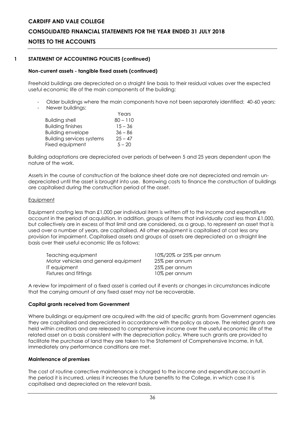# **CONSOLIDATED FINANCIAL STATEMENTS FOR THE YEAR ENDED 31 JULY 2018**

#### **NOTES TO THE ACCOUNTS**

#### **1 STATEMENT OF ACCOUNTING POLICIES (continued)**

#### **Non-current assets - tangible fixed assets (continued)**

Freehold buildings are depreciated on a straight line basis to their residual values over the expected useful economic life of the main components of the building:

- Older buildings where the main components have not been separately identified: 40-60 years;
- Newer buildings:

|                                  | Years      |
|----------------------------------|------------|
| <b>Building shell</b>            | $80 - 110$ |
| <b>Building finishes</b>         | $15 - 36$  |
| <b>Building envelope</b>         | $36 - 86$  |
| <b>Building services systems</b> | $25 - 47$  |
| Fixed equipment                  | $5 - 20$   |

Building adaptations are depreciated over periods of between 5 and 25 years dependent upon the nature of the work.

Assets in the course of construction at the balance sheet date are not depreciated and remain undepreciated until the asset is brought into use. Borrowing costs to finance the construction of buildings are capitalised during the construction period of the asset.

#### **Equipment**

Equipment costing less than £1,000 per individual item is written off to the income and expenditure account in the period of acquisition. In addition, groups of items that individually cost less than £1,000, but collectively are in excess of that limit and are considered, as a group, to represent an asset that is used over a number of years, are capitalised. All other equipment is capitalised at cost less any provision for impairment. Capitalised assets and groups of assets are depreciated on a straight line basis over their useful economic life as follows:

| Teaching equipment                   | 10%/20% or 25% per annum |
|--------------------------------------|--------------------------|
| Motor vehicles and general equipment | 25% per annum            |
| IT equipment                         | 25% per annum            |
| Fixtures and fittings                | 10% per annum            |

A review for impairment of a fixed asset is carried out if events or changes in circumstances indicate that the carrying amount of any fixed asset may not be recoverable.

#### **Capital grants received from Government**

Where buildings or equipment are acquired with the aid of specific grants from Government agencies they are capitalised and depreciated in accordance with the policy as above. The related grants are held within creditors and are released to comprehensive income over the useful economic life of the related asset on a basis consistent with the depreciation policy. Where such grants are provided to facilitate the purchase of land they are taken to the Statement of Comprehensive Income, in full, immediately any performance conditions are met.

#### **Maintenance of premises**

The cost of routine corrective maintenance is charged to the income and expenditure account in the period it is incurred, unless it increases the future benefits to the College, in which case it is capitalised and depreciated on the relevant basis.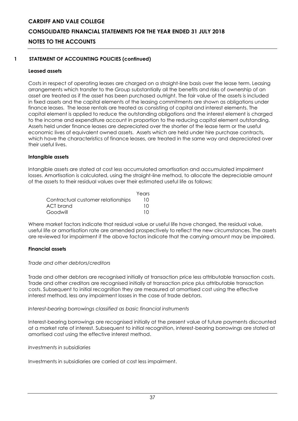# **CARDIFF AND VALE COLLEGE CONSOLIDATED FINANCIAL STATEMENTS FOR THE YEAR ENDED 31 JULY 2018 NOTES TO THE ACCOUNTS**

### **1 STATEMENT OF ACCOUNTING POLICIES (continued)**

#### **Leased assets**

Costs in respect of operating leases are charged on a straight-line basis over the lease term. Leasing arrangements which transfer to the Group substantially all the benefits and risks of ownership of an asset are treated as if the asset has been purchased outright. The fair value of the assets is included in fixed assets and the capital elements of the leasing commitments are shown as obligations under finance leases. The lease rentals are treated as consisting of capital and interest elements. The capital element is applied to reduce the outstanding obligations and the interest element is charged to the income and expenditure account in proportion to the reducing capital element outstanding. Assets held under finance leases are depreciated over the shorter of the lease term or the useful economic lives of equivalent owned assets. Assets which are held under hire purchase contracts, which have the characteristics of finance leases, are treated in the same way and depreciated over their useful lives.

#### **Intangible assets**

Intangible assets are stated at cost less accumulated amortisation and accumulated impairment losses. Amortisation is calculated, using the straight-line method, to allocate the depreciable amount of the assets to their residual values over their estimated useful life as follows:

|                                    | Years |
|------------------------------------|-------|
| Contractual customer relationships | 10    |
| ACT brand                          | 10    |
| Goodwill                           | 10    |

Where market factors indicate that residual value or useful life have changed, the residual value, useful life or amortisation rate are amended prospectively to reflect the new circumstances. The assets are reviewed for impairment if the above factors indicate that the carrying amount may be impaired.

#### **Financial assets**

#### *Trade and other debtors/creditors*

Trade and other debtors are recognised initially at transaction price less attributable transaction costs. Trade and other creditors are recognised initially at transaction price plus attributable transaction costs. Subsequent to initial recognition they are measured at amortised cost using the effective interest method, less any impairment losses in the case of trade debtors.

#### *Interest-bearing borrowings classified as basic financial instruments*

Interest-bearing borrowings are recognised initially at the present value of future payments discounted at a market rate of interest. Subsequent to initial recognition, interest-bearing borrowings are stated at amortised cost using the effective interest method.

#### *Investments in subsidiaries*

Investments in subsidiaries are carried at cost less impairment.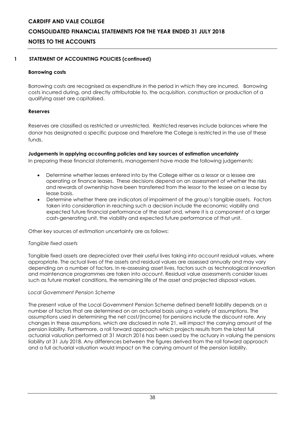# **CONSOLIDATED FINANCIAL STATEMENTS FOR THE YEAR ENDED 31 JULY 2018**

# **NOTES TO THE ACCOUNTS**

### **1 STATEMENT OF ACCOUNTING POLICIES (continued)**

#### **Borrowing costs**

Borrowing costs are recognised as expenditure in the period in which they are incurred. Borrowing costs incurred during, and directly attributable to, the acquisition, construction or production of a qualifying asset are capitalised.

### **Reserves**

Reserves are classified as restricted or unrestricted. Restricted reserves include balances where the donor has designated a specific purpose and therefore the College is restricted in the use of these funds.

#### **Judgements in applying accounting policies and key sources of estimation uncertainty**

In preparing these financial statements, management have made the following judgements:

- Determine whether leases entered into by the College either as a lessor or a lessee are operating or finance leases. These decisions depend on an assessment of whether the risks and rewards of ownership have been transferred from the lessor to the lessee on a lease by lease basis.
- Determine whether there are indicators of impairment of the group's tangible assets. Factors taken into consideration in reaching such a decision include the economic viability and expected future financial performance of the asset and, where it is a component of a larger cash-generating unit, the viability and expected future performance of that unit.

Other key sources of estimation uncertainty are as follows:

#### *Tangible fixed assets*

Tangible fixed assets are depreciated over their useful lives taking into account residual values, where appropriate. The actual lives of the assets and residual values are assessed annually and may vary depending on a number of factors. In re-assessing asset lives, factors such as technological innovation and maintenance programmes are taken into account. Residual value assessments consider issues such as future market conditions, the remaining life of the asset and projected disposal values.

#### *Local Government Pension Scheme*

The present value of the Local Government Pension Scheme defined benefit liability depends on a number of factors that are determined on an actuarial basis using a variety of assumptions. The assumptions used in determining the net cost/(income) for pensions include the discount rate. Any changes in these assumptions, which are disclosed in note 21, will impact the carrying amount of the pension liability. Furthermore, a roll forward approach which projects results from the latest full actuarial valuation performed at 31 March 2016 has been used by the actuary in valuing the pensions liability at 31 July 2018. Any differences between the figures derived from the roll forward approach and a full actuarial valuation would impact on the carrying amount of the pension liability.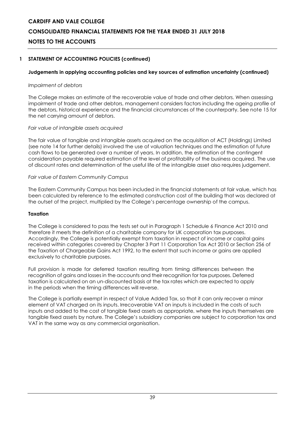# **CARDIFF AND VALE COLLEGE CONSOLIDATED FINANCIAL STATEMENTS FOR THE YEAR ENDED 31 JULY 2018 NOTES TO THE ACCOUNTS**

### **1 STATEMENT OF ACCOUNTING POLICIES (continued)**

#### **Judgements in applying accounting policies and key sources of estimation uncertainty (continued)**

#### *Impairment of debtors*

The College makes an estimate of the recoverable value of trade and other debtors. When assessing impairment of trade and other debtors, management considers factors including the ageing profile of the debtors, historical experience and the financial circumstances of the counterparty. See note 15 for the net carrying amount of debtors.

#### *Fair value of intangible assets acquired*

The fair value of tangible and intangible assets acquired on the acquisition of ACT (Holdings) Limited (see note 14 for further details) involved the use of valuation techniques and the estimation of future cash flows to be generated over a number of years. In addition, the estimation of the contingent consideration payable required estimation of the level of profitability of the business acquired. The use of discount rates and determination of the useful life of the intangible asset also requires judgement.

#### *Fair value of Eastern Community Campus*

The Eastern Community Campus has been included in the financial statements at fair value, which has been calculated by reference to the estimated construction cost of the building that was declared at the outset of the project, multiplied by the College's percentage ownership of the campus.

#### **Taxation**

The College is considered to pass the tests set out in Paragraph 1 Schedule 6 Finance Act 2010 and therefore it meets the definition of a charitable company for UK corporation tax purposes. Accordingly, the College is potentially exempt from taxation in respect of income or capital gains received within categories covered by Chapter 3 Part 11 Corporation Tax Act 2010 or Section 256 of the Taxation of Chargeable Gains Act 1992, to the extent that such income or gains are applied exclusively to charitable purposes.

Full provision is made for deferred taxation resulting from timing differences between the recognition of gains and losses in the accounts and their recognition for tax purposes. Deferred taxation is calculated on an un-discounted basis at the tax rates which are expected to apply in the periods when the timing differences will reverse.

The College is partially exempt in respect of Value Added Tax, so that it can only recover a minor element of VAT charged on its inputs. Irrecoverable VAT on inputs is included in the costs of such inputs and added to the cost of tangible fixed assets as appropriate, where the inputs themselves are tangible fixed assets by nature. The College's subsidiary companies are subject to corporation tax and VAT in the same way as any commercial organisation.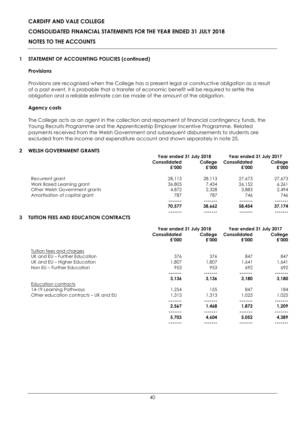# **CONSOLIDATED FINANCIAL STATEMENTS FOR THE YEAR ENDED 31 JULY 2018**

#### **NOTES TO THE ACCOUNTS**

#### **1 STATEMENT OF ACCOUNTING POLICIES (continued)**

#### **Provisions**

Provisions are recognised when the College has a present legal or constructive obligation as a result of a past event, it is probable that a transfer of economic benefit will be required to settle the obligation and a reliable estimate can be made of the amount of the obligation.

#### **Agency costs**

The College acts as an agent in the collection and repayment of financial contingency funds, the Young Recruits Programme and the Apprenticeship Employer Incentive Programme. Related payments received from the Welsh Government and subsequent disbursements to students are excluded from the income and expenditure account and shown separately in note 25.

#### **2 WELSH GOVERNMENT GRANTS**

|                               | Year ended 31 July 2018 |         | Year ended 31 July 2017 |         |
|-------------------------------|-------------------------|---------|-------------------------|---------|
|                               | Consolidated            | College | Consolidated            | College |
|                               | £'000                   | £'000   | £'000                   | £'000   |
| Recurrent grant               | 28.113                  | 28.113  | 27,673                  | 27,673  |
| Work Based Learning grant     | 36,805                  | 7.434   | 26.152                  | 6.261   |
| Other Welsh Government grants | 4,872                   | 2.328   | 3,883                   | 2.494   |
| Amortisation of capital grant | 787                     | 787     | 746                     | 746     |
|                               |                         |         |                         |         |
|                               | 70.577                  | 38.662  | 58.454                  | 37,174  |
|                               |                         |         |                         |         |

#### **3 TUITION FEES AND EDUCATION CONTRACTS**

|                                       | Year ended 31 July 2018 |                  | Year ended 31 July 2017 |                  |
|---------------------------------------|-------------------------|------------------|-------------------------|------------------|
|                                       | Consolidated<br>£'000   | College<br>£'000 | Consolidated<br>£'000   | College<br>£'000 |
| Tuition fees and charges              |                         |                  |                         |                  |
| UK and EU - Further Education         | 376                     | 376              | 847                     | 847              |
| UK and EU - Higher Education          | 1,807                   | 1,807            | 1.641                   | 1.641            |
| Non EU - Further Education            | 953                     | 953              | 692                     | 692              |
|                                       |                         |                  |                         |                  |
|                                       | 3,136                   | 3,136            | 3,180                   | 3,180            |
| Education contracts                   |                         |                  |                         |                  |
| 14-19 Learning Pathways               | 1.254                   | 155              | 847                     | 184              |
| Other education contracts – UK and EU | 1,313                   | 1,313            | 1.025                   | 1.025            |
|                                       |                         |                  |                         |                  |
|                                       | 2,567                   | 1,468            | 1,872                   | 1,209            |
|                                       |                         |                  |                         |                  |
|                                       | 5,703                   | 4,604            | 5,052                   | 4,389            |
|                                       |                         |                  |                         |                  |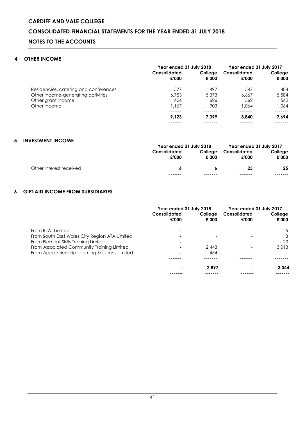# **CONSOLIDATED FINANCIAL STATEMENTS FOR THE YEAR ENDED 31 JULY 2018**

# **NOTES TO THE ACCOUNTS**

### **4 OTHER INCOME**

|                                       | Year ended 31 July 2018 |                  | Year ended 31 July 2017 |                  |
|---------------------------------------|-------------------------|------------------|-------------------------|------------------|
|                                       | Consolidated<br>£'000   | College<br>£'000 | Consolidated<br>£'000   | College<br>£'000 |
| Residencies, catering and conferences | 577                     | 497              | 547                     | 484              |
| Other income-generating activities    | 6.753                   | 5.373            | 6.667                   | 5,584            |
| Other grant income                    | 626                     | 626              | 562                     | 562              |
| Other income                          | 1.167                   | 903              | 1.064                   | 1.064            |
|                                       |                         |                  |                         | .                |
|                                       | 9.123                   | 7.399            | 8.840                   | 7.694            |
|                                       |                         |                  |                         | .                |

#### **5 INVESTMENT INCOME**

|                         | Year ended 31 July 2018 |         | Year ended 31 July 2017 |         |
|-------------------------|-------------------------|---------|-------------------------|---------|
|                         | Consolidated            | College | Consolidated            | College |
|                         | £'000                   | £'000   | £'000                   | £'000   |
| Other interest received |                         | Ã.      | 25                      | 25      |
|                         | -------                 | ------- | -------                 | ------- |

### **6 GIFT AID INCOME FROM SUBSIDIARIES**

|                                                | Year ended 31 July 2018      |                  | Year ended 31 July 2017      |                  |
|------------------------------------------------|------------------------------|------------------|------------------------------|------------------|
|                                                | <b>Consolidated</b><br>£'000 | College<br>£'000 | <b>Consolidated</b><br>£'000 | College<br>£'000 |
| From ICAT Limited                              |                              |                  |                              | 5                |
| From South East Wales City Region ATA Limited  |                              |                  |                              | 3                |
| From Element Skills Training Limited           |                              |                  |                              | 23               |
| From Associated Community Training Limited     | $\blacksquare$               | 2.443            |                              | 3.013            |
| From Apprenticeship Learning Solutions Limited |                              | 454              |                              |                  |
|                                                |                              |                  |                              |                  |
|                                                |                              | 2,897            |                              | 3.044            |
|                                                |                              |                  |                              |                  |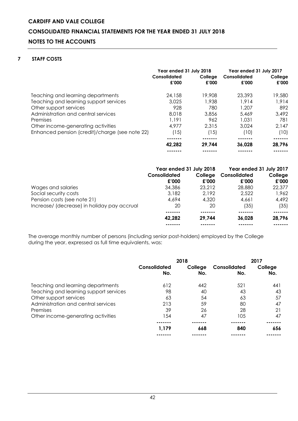# **CONSOLIDATED FINANCIAL STATEMENTS FOR THE YEAR ENDED 31 JULY 2018**

# **NOTES TO THE ACCOUNTS**

# **7 STAFF COSTS**

|                                                | Year ended 31 July 2018 |                  | Year ended 31 July 2017 |                  |
|------------------------------------------------|-------------------------|------------------|-------------------------|------------------|
|                                                | Consolidated<br>£'000   | College<br>£'000 | Consolidated<br>£'000   | College<br>£'000 |
| Teaching and learning departments              | 24,158                  | 19,908           | 23,393                  | 19,580           |
| Teaching and learning support services         | 3,025                   | 1.938            | 1.914                   | 1.914            |
| Other support services                         | 928                     | 780              | 1,207                   | 892              |
| Administration and central services            | 8.018                   | 3,856            | 5,469                   | 3.492            |
| Premises                                       | 1.191                   | 962              | 1.031                   | 781              |
| Other income-generating activities             | 4.977                   | 2.315            | 3,024                   | 2.147            |
| Enhanced pension (credit)/charge (see note 22) | (15)                    | (15)             | (10)                    | (10)             |
|                                                |                         |                  |                         |                  |
|                                                | 42.282                  | 29,744           | 36.028                  | 28,796           |
|                                                |                         |                  |                         |                  |

|                                             | Year ended 31 July 2018 |         | Year ended 31 July 2017 |         |
|---------------------------------------------|-------------------------|---------|-------------------------|---------|
|                                             | Consolidated            | College | Consolidated            | College |
|                                             | £'000                   | £'000   | £'000                   | £'000   |
| Wages and salaries                          | 34,386                  | 23.212  | 28,880                  | 22,377  |
| Social security costs                       | 3,182                   | 2.192   | 2,522                   | 1,962   |
| Pension costs (see note 21)                 | 4,694                   | 4,320   | 4.661                   | 4,492   |
| Increase/ (decrease) in holiday pay accrual | 20                      | 20      | (35)                    | (35)    |
|                                             |                         |         |                         |         |
|                                             | 42.282                  | 29.744  | 36,028                  | 28,796  |
|                                             |                         |         |                         |         |

The average monthly number of persons (including senior post-holders) employed by the College during the year, expressed as full time equivalents, was:

|                                        | 2018                |                |                     | 2017           |
|----------------------------------------|---------------------|----------------|---------------------|----------------|
|                                        | Consolidated<br>No. | College<br>No. | Consolidated<br>No. | College<br>No. |
| Teaching and learning departments      | 612                 | 442            | 521                 | 441            |
| Teaching and learning support services | 98                  | 40             | 43                  | 43             |
| Other support services                 | 63                  | 54             | 63                  | 57             |
| Administration and central services    | 213                 | 59             | 80                  | 47             |
| Premises                               | 39                  | 26             | 28                  | 21             |
| Other income-generating activities     | 154                 | 47             | 105                 | 47             |
|                                        |                     |                |                     |                |
|                                        | 1,179               | 668            | 840                 | 656            |
|                                        |                     |                |                     |                |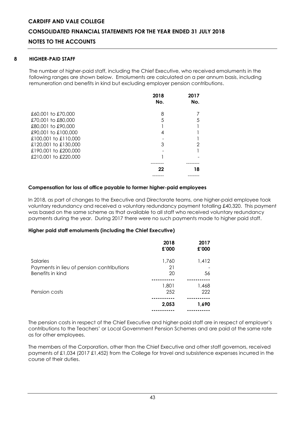# **CONSOLIDATED FINANCIAL STATEMENTS FOR THE YEAR ENDED 31 JULY 2018**

# **NOTES TO THE ACCOUNTS**

#### **8 HIGHER-PAID STAFF**

The number of higher-paid staff, including the Chief Executive, who received emoluments in the following ranges are shown below. Emoluments are calculated on a per annum basis, including remuneration and benefits in kind but excluding employer pension contributions.

|                      | 2018<br>No. | 2017<br>No. |
|----------------------|-------------|-------------|
| £60,001 to £70,000   | 8           |             |
| £70,001 to £80,000   | 5           |             |
| £80,001 to £90,000   |             |             |
| £90,001 to £100,000  |             |             |
| £100,001 to £110,000 |             |             |
| £120,001 to £130,000 | 3           | 2           |
| £190,001 to £200,000 |             |             |
| £210,001 to £220,000 |             |             |
|                      | 22          | 18          |
|                      |             |             |

#### **Compensation for loss of office payable to former higher-paid employees**

In 2018, as part of changes to the Executive and Directorate teams, one higher-paid employee took voluntary redundancy and received a voluntary redundancy payment totalling £40,320. This payment was based on the same scheme as that available to all staff who received voluntary redundancy payments during the year. During 2017 there were no such payments made to higher paid staff.

#### **Higher paid staff emoluments (including the Chief Executive)**

|                                                                           | 2018<br>£'000     | 2017<br>£'000 |
|---------------------------------------------------------------------------|-------------------|---------------|
| Salaries<br>Payments in lieu of pension contributions<br>Benefits in kind | 1,760<br>21<br>20 | 1,412<br>56   |
| Pension costs                                                             | 1,801<br>252      | 1,468<br>222  |
|                                                                           | 2,053             | 1,690         |

The pension costs in respect of the Chief Executive and higher-paid staff are in respect of employer's contributions to the Teachers' or Local Government Pension Schemes and are paid at the same rate as for other employees.

The members of the Corporation, other than the Chief Executive and other staff governors, received payments of £1,034 (2017 £1,452) from the College for travel and subsistence expenses incurred in the course of their duties.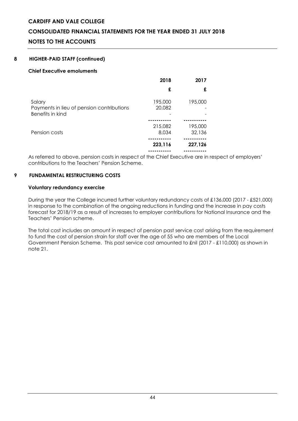# **CONSOLIDATED FINANCIAL STATEMENTS FOR THE YEAR ENDED 31 JULY 2018**

# **NOTES TO THE ACCOUNTS**

#### **8 HIGHER-PAID STAFF (continued)**

#### **Chief Executive emoluments**

|                                                                         | 2018              | 2017              |
|-------------------------------------------------------------------------|-------------------|-------------------|
|                                                                         | £                 | £                 |
| Salary<br>Payments in lieu of pension contributions<br>Benefits in kind | 195,000<br>20,082 | 195,000           |
|                                                                         |                   |                   |
| Pension costs                                                           | 215,082<br>8,034  | 195,000<br>32,136 |
|                                                                         |                   | .                 |
|                                                                         | 223,116           | 227,126           |
|                                                                         |                   |                   |

As referred to above, pension costs in respect of the Chief Executive are in respect of employers' contributions to the Teachers' Pension Scheme.

### **9 FUNDAMENTAL RESTRUCTURING COSTS**

### **Voluntary redundancy exercise**

During the year the College incurred further voluntary redundancy costs of £136,000 (2017 - £521,000) in response to the combination of the ongoing reductions in funding and the increase in pay costs forecast for 2018/19 as a result of increases to employer contributions for National Insurance and the Teachers' Pension scheme.

The total cost includes an amount in respect of pension past service cost arising from the requirement to fund the cost of pension strain for staff over the age of 55 who are members of the Local Government Pension Scheme. This past service cost amounted to £nil (2017 - £110,000) as shown in note 21.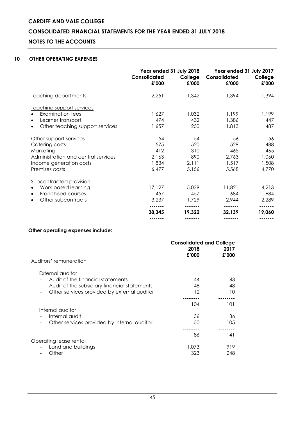# **CARDIFF AND VALE COLLEGE CONSOLIDATED FINANCIAL STATEMENTS FOR THE YEAR ENDED 31 JULY 2018 NOTES TO THE ACCOUNTS**

# **10 OTHER OPERATING EXPENSES**

|                                     | Year ended 31 July 2018<br><b>Consolidated</b><br>£'000 | College<br>£'000 | Year ended 31 July 2017<br>Consolidated<br>£'000 | College<br>£'000  |
|-------------------------------------|---------------------------------------------------------|------------------|--------------------------------------------------|-------------------|
| <b>Teaching departments</b>         | 2,251                                                   | 1,342            | 1,394                                            | 1,394             |
| Teaching support services           |                                                         |                  |                                                  |                   |
| <b>Examination fees</b>             | 1,627                                                   | 1,032            | 1,199                                            | 1,199             |
| Learner transport<br>$\bullet$      | 474                                                     | 432              | 1,386                                            | 447               |
| Other teaching support services     | 1,657                                                   | 250              | 1,813                                            | 487               |
| Other support services              | 54                                                      | 54               | 56                                               | 56                |
| Catering costs                      | 575                                                     | 520              | 529                                              | 488               |
| Marketing                           | 412                                                     | 310              | 465                                              | 465               |
| Administration and central services | 2,163                                                   | 890              | 2,763                                            | 1,060             |
| Income generation costs             | 1,834                                                   | 2,111            | 1,517                                            | 1,508             |
| Premises costs                      | 6,477                                                   | 5,156            | 5,568                                            | 4,770             |
| Subcontracted provision             |                                                         |                  |                                                  |                   |
| Work based learning                 | 17,127                                                  | 5,039            | 11,821                                           | 4,213             |
| Franchised courses<br>$\bullet$     | 457                                                     | 457              | 684                                              | 684               |
| Other subcontracts<br>$\bullet$     | 3,237                                                   | 1,729            | 2,944                                            | 2,289             |
|                                     | .<br>38,345                                             | .<br>19,322      | -------<br>32,139                                | -------<br>19,060 |
|                                     |                                                         |                  |                                                  |                   |

#### **Other operating expenses include:**

|                                                                         | <b>Consolidated and College</b> |       |  |
|-------------------------------------------------------------------------|---------------------------------|-------|--|
|                                                                         | 2018                            | 2017  |  |
|                                                                         | £'000                           | £'000 |  |
| Auditors' remuneration                                                  |                                 |       |  |
| External auditor                                                        |                                 |       |  |
| Audit of the financial statements                                       | 44                              | 43    |  |
| Audit of the subsidiary financial statements<br>-                       | 48                              | 48    |  |
| Other services provided by external auditor<br>$\overline{\phantom{a}}$ | 12                              | 10    |  |
|                                                                         |                                 |       |  |
|                                                                         | 104                             | 101   |  |
| Internal auditor                                                        |                                 |       |  |
| Internal audit                                                          | 36                              | 36    |  |
| Other services provided by internal auditor<br>$\overline{\phantom{a}}$ | 50                              | 105   |  |
|                                                                         |                                 |       |  |
|                                                                         | 86                              | 141   |  |
| Operating lease rental                                                  |                                 |       |  |
| Land and buildings                                                      | 1,073                           | 919   |  |
| Other<br>$\overline{\phantom{a}}$                                       | 323                             | 248   |  |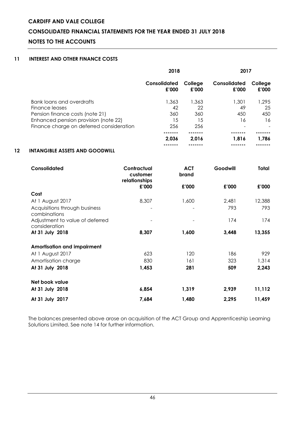# **CONSOLIDATED FINANCIAL STATEMENTS FOR THE YEAR ENDED 31 JULY 2018**

# **NOTES TO THE ACCOUNTS**

### **11 INTEREST AND OTHER FINANCE COSTS**

|                                          | 2018                  |                  | 2017                  |                  |
|------------------------------------------|-----------------------|------------------|-----------------------|------------------|
|                                          | Consolidated<br>£'000 | College<br>£'000 | Consolidated<br>£'000 | College<br>£'000 |
| Bank loans and overdrafts                | 1,363                 | 1,363            | 1,301                 | 1.295            |
| Finance leases                           | 42                    | 22               | 49                    | 25               |
| Pension finance costs (note 21)          | 360                   | 360              | 450                   | 450              |
| Enhanced pension provision (note 22)     | 15                    | 15               | 16                    | 16               |
| Finance charge on deferred consideration | 256                   | 256              |                       |                  |
|                                          |                       |                  |                       |                  |
|                                          | 2,036                 | 2,016            | 1,816                 | 1,786            |
|                                          |                       |                  |                       |                  |
|                                          |                       |                  |                       |                  |

### **12 INTANGIBLE ASSETS AND GOODWILL**

| Consolidated                                     | Contractual<br>customer<br>relationships | <b>ACT</b><br>brand | Goodwill | Total  |
|--------------------------------------------------|------------------------------------------|---------------------|----------|--------|
|                                                  | £'000                                    | £'000               | £'000    | £'000  |
| Cost                                             |                                          |                     |          |        |
| At 1 August 2017                                 | 8,307                                    | 1,600               | 2,481    | 12,388 |
| Acquisitions through business<br>combinations    |                                          |                     | 793      | 793    |
| Adjustment to value of deferred<br>consideration |                                          |                     | 174      | 174    |
| At 31 July 2018                                  | 8,307                                    | 1,600               | 3,448    | 13,355 |
| <b>Amortisation and impairment</b>               |                                          |                     |          |        |
| At 1 August 2017                                 | 623                                      | 120                 | 186      | 929    |
| Amortisation charge                              | 830                                      | 161                 | 323      | 1,314  |
| At 31 July 2018                                  | 1,453                                    | 281                 | 509      | 2,243  |
| Net book value                                   |                                          |                     |          |        |
| At 31 July 2018                                  | 6,854                                    | 1,319               | 2,939    | 11,112 |
| At 31 July 2017                                  | 7,684                                    | 1,480               | 2,295    | 11,459 |

The balances presented above arose on acquisition of the ACT Group and Apprenticeship Learning Solutions Limited. See note 14 for further information.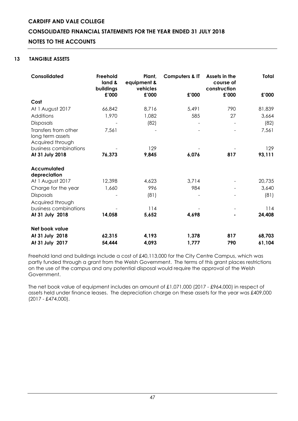# **CARDIFF AND VALE COLLEGE CONSOLIDATED FINANCIAL STATEMENTS FOR THE YEAR ENDED 31 JULY 2018 NOTES TO THE ACCOUNTS**

### **13 TANGIBLE ASSETS**

| Consolidated                                                 | Freehold<br>land &<br>buildings | Plant,<br>equipment &<br>vehicles | <b>Computers &amp; IT</b> | Assets in the<br>course of<br>construction | <b>Total</b> |
|--------------------------------------------------------------|---------------------------------|-----------------------------------|---------------------------|--------------------------------------------|--------------|
|                                                              | £'000                           | £'000                             | £'000                     | £'000                                      | £'000        |
| Cost                                                         |                                 |                                   |                           |                                            |              |
| At 1 August 2017                                             | 66,842                          | 8,716                             | 5,491                     | 790                                        | 81,839       |
| Additions                                                    | 1,970                           | 1,082                             | 585                       | 27                                         | 3,664        |
| <b>Disposals</b>                                             |                                 | (82)                              |                           |                                            | (82)         |
| Transfers from other<br>long term assets<br>Acquired through | 7,561                           |                                   |                           |                                            | 7,561        |
| business combinations                                        |                                 | 129                               |                           |                                            | 129          |
| At 31 July 2018                                              | 76,373                          | 9,845                             | 6,076                     | 817                                        | 93,111       |
| <b>Accumulated</b>                                           |                                 |                                   |                           |                                            |              |
| depreciation                                                 |                                 |                                   |                           |                                            |              |
| At 1 August 2017                                             | 12,398                          | 4,623                             | 3,714                     |                                            | 20,735       |
| Charge for the year                                          | 1,660                           | 996                               | 984                       |                                            | 3,640        |
| Disposals                                                    |                                 | (81)                              |                           |                                            | (81)         |
| Acquired through                                             |                                 |                                   |                           |                                            |              |
| business combinations                                        |                                 | 114                               |                           |                                            | 114          |
| At 31 July 2018                                              | 14,058                          | 5,652                             | 4,698                     |                                            | 24,408       |
| Net book value                                               |                                 |                                   |                           |                                            |              |
| At 31 July 2018                                              | 62,315                          | 4,193                             | 1,378                     | 817                                        | 68,703       |
| At 31 July 2017                                              | 54,444                          | 4,093                             | 1,777                     | 790                                        | 61,104       |

Freehold land and buildings include a cost of £40,113,000 for the City Centre Campus, which was partly funded through a grant from the Welsh Government. The terms of this grant places restrictions on the use of the campus and any potential disposal would require the approval of the Welsh Government.

The net book value of equipment includes an amount of £1,071,000 (2017 - £964,000) in respect of assets held under finance leases. The depreciation charge on these assets for the year was £409,000 (2017 - £474,000).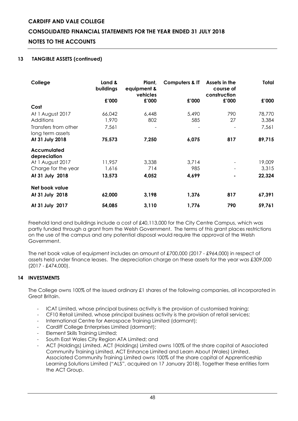# **CARDIFF AND VALE COLLEGE CONSOLIDATED FINANCIAL STATEMENTS FOR THE YEAR ENDED 31 JULY 2018 NOTES TO THE ACCOUNTS**

#### **13 TANGIBLE ASSETS (continued)**

| College                                  | Land &<br>buildings | Plant,<br>equipment &<br>vehicles | <b>Computers &amp; IT</b> | Assets in the<br>course of<br>construction | <b>Total</b>    |
|------------------------------------------|---------------------|-----------------------------------|---------------------------|--------------------------------------------|-----------------|
|                                          | £'000               | £'000                             | £'000                     | £'000                                      | £'000           |
| Cost                                     |                     |                                   |                           |                                            |                 |
| At 1 August 2017                         | 66,042              | 6,448                             | 5,490                     | 790                                        | 78,770          |
| Additions                                | 1,970               | 802                               | 585                       | 27                                         | 3,384           |
| Transfers from other<br>long term assets | 7,561               |                                   |                           |                                            | 7,561           |
| At 31 July 2018                          | 75,573              | 7,250                             | 6,075                     | 817                                        | 89,715          |
| Accumulated                              |                     |                                   |                           |                                            |                 |
| depreciation                             |                     |                                   |                           |                                            |                 |
| At 1 August 2017<br>Charge for the year  | 11,957<br>1,616     | 3,338<br>714                      | 3,714<br>985              |                                            | 19,009<br>3,315 |
| At 31 July 2018                          | 13,573              | 4,052                             | 4,699                     | ۰                                          | 22,324          |
| Net book value                           |                     |                                   |                           |                                            |                 |
| At 31 July 2018                          | 62,000              | 3,198                             | 1,376                     | 817                                        | 67,391          |
| At 31 July 2017                          | 54,085              | 3,110                             | 1,776                     | 790                                        | 59,761          |

Freehold land and buildings include a cost of £40,113,000 for the City Centre Campus, which was partly funded through a grant from the Welsh Government. The terms of this grant places restrictions on the use of the campus and any potential disposal would require the approval of the Welsh Government.

The net book value of equipment includes an amount of £700,000 (2017 - £964,000) in respect of assets held under finance leases. The depreciation charge on these assets for the year was £309,000 (2017 - £474,000).

#### **14 INVESTMENTS**

The College owns 100% of the issued ordinary £1 shares of the following companies, all incorporated in Great Britain.

- ICAT Limited, whose principal business activity is the provision of customised training;
- CF10 Retail Limited, whose principal business activity is the provision of retail services;
- International Centre for Aerospace Training Limited (dormant);
- Cardiff College Enterprises Limited (dormant);
- Element Skills Training Limited;
- South East Wales City Region ATA Limited; and
- ACT (Holdings) Limited. ACT (Holdings) Limited owns 100% of the share capital of Associated Community Training Limited, ACT Enhance Limited and Learn About (Wales) Limited. Associated Community Training Limited owns 100% of the share capital of Apprenticeship Learning Solutions Limited ("ALS", acquired on 17 January 2018). Together these entities form the ACT Group.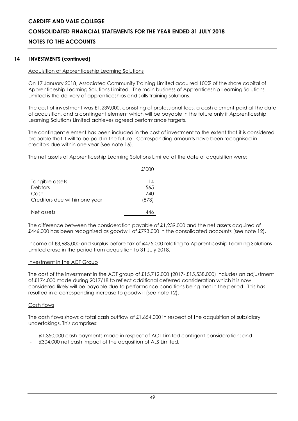# **CONSOLIDATED FINANCIAL STATEMENTS FOR THE YEAR ENDED 31 JULY 2018**

# **NOTES TO THE ACCOUNTS**

#### **14 INVESTMENTS (continued)**

#### Acquisition of Apprenticeship Learning Solutions

On 17 January 2018, Associated Community Training Limited acquired 100% of the share capital of Apprenticeship Learning Solutions Limited. The main business of Apprenticeship Learning Solutions Limited is the delivery of apprenticeships and skills training solutions.

The cost of investment was £1,239,000, consisting of professional fees, a cash element paid at the date of acquisition, and a contingent element which will be payable in the future only if Apprenticeship Learning Solutions Limited achieves agreed performance targets.

The contingent element has been included in the cost of investment to the extent that it is considered probable that it will to be paid in the future. Corresponding amounts have been recognised in creditors due within one year (see note 16).

The net assets of Apprenticeship Learning Solutions Limited at the date of acquisition were:

|                               | £'000 |
|-------------------------------|-------|
| Tangible assets               | 14    |
| Debtors                       | 565   |
| Cash                          | 740   |
| Creditors due within one year | (873) |
| Net assets                    |       |

The difference between the consideration payable of £1,239,000 and the net assets acquired of £446,000 has been recognised as goodwill of £793,000 in the consolidated accounts (see note 12).

Income of £3,683,000 and surplus before tax of £475,000 relating to Apprenticeship Learning Solutions Limited arose in the period from acquisition to 31 July 2018.

#### Investment in the ACT Group

The cost of the investment in the ACT group of £15,712,000 (2017- £15,538,000) includes an adjustment of £174,000 made during 2017/18 to reflect additional deferred consideration which it is now considered likely will be payable due to performance conditions being met in the period. This has resulted in a corresponding increase to goodwill (see note 12).

#### Cash flows

The cash flows shows a total cash outflow of £1,654,000 in respect of the acquisition of subsidiary undertakings. This comprises:

- £1,350,000 cash payments made in respect of ACT Limited contigent consideration; and
- £304,000 net cash impact of the acqusition of ALS Limited.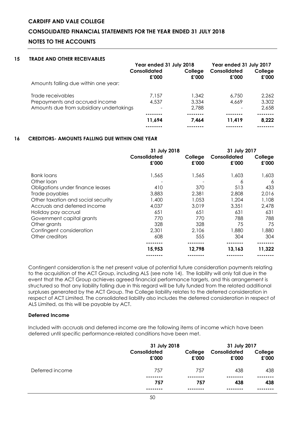# **CONSOLIDATED FINANCIAL STATEMENTS FOR THE YEAR ENDED 31 JULY 2018**

# **NOTES TO THE ACCOUNTS**

#### **15 TRADE AND OTHER RECEIVABLES**

|                                          | Year ended 31 July 2018 |                  | Year ended 31 July 2017 |                  |
|------------------------------------------|-------------------------|------------------|-------------------------|------------------|
|                                          | Consolidated<br>£'000   | College<br>£'000 | Consolidated<br>£'000   | College<br>£'000 |
| Amounts falling due within one year:     |                         |                  |                         |                  |
| Trade receivables                        | 7.157                   | 1,342            | 6.750                   | 2,262            |
| Prepayments and accrued income           | 4.537                   | 3,334            | 4,669                   | 3,302            |
| Amounts due from subsidiary undertakings |                         | 2,788            |                         | 2,658            |
|                                          |                         |                  |                         |                  |
|                                          | 11.694                  | 7.464            | 11.419                  | 8,222            |
|                                          |                         |                  |                         |                  |

### **16 CREDITORS- AMOUNTS FALLING DUE WITHIN ONE YEAR**

|                                    | 31 July 2018          |                  | 31 July 2017          |                  |
|------------------------------------|-----------------------|------------------|-----------------------|------------------|
|                                    | Consolidated<br>£'000 | College<br>£'000 | Consolidated<br>£'000 | College<br>£'000 |
| Bank loans                         | 1,565                 | 1,565            | 1,603                 | 1,603            |
| Other loan                         |                       |                  | 6                     | 6                |
| Obligations under finance leases   | 410                   | 370              | 513                   | 433              |
| Trade payables                     | 3,883                 | 2,381            | 2,808                 | 2,016            |
| Other taxation and social security | 1,400                 | 1,053            | 1,204                 | 1,108            |
| Accruals and deferred income       | 4,037                 | 3,019            | 3,351                 | 2,478            |
| Holiday pay accrual                | 651                   | 651              | 631                   | 631              |
| Government capital grants          | 770                   | 770              | 788                   | 788              |
| Other grants                       | 328                   | 328              | 75                    | 75               |
| Contingent consideration           | 2,301                 | 2,106            | 1,880                 | 1,880            |
| Other creditors                    | 608                   | 555              | 304                   | 304              |
|                                    |                       |                  |                       |                  |
|                                    | 15,953                | 12,798           | 13,163                | 11,322           |
|                                    |                       |                  |                       |                  |

Contingent consideration is the net present value of potential future consideration payments relating to the acquisition of the ACT Group, including ALS (see note 14). The liability will only fall due in the event that the ACT Group achieves agreed financial performance targets, and this arrangement is structured so that any liability falling due in this regard will be fully funded from the related additional surpluses generated by the ACT Group. The College liability relates to the deferred consideration in respect of ACT Limited. The consolidated liability also includes the deferred consideration in respect of ALS Limited, as this will be payable by ACT.

# **Deferred Income**

Included with accruals and deferred income are the following items of income which have been deferred until specific performance-related conditions have been met.

|                 | 31 July 2018          |                  | 31 July 2017          |                  |
|-----------------|-----------------------|------------------|-----------------------|------------------|
|                 | Consolidated<br>£'000 | College<br>£'000 | Consolidated<br>£'000 | College<br>£'000 |
| Deferred income | 757                   | 757              | 438                   | 438              |
|                 | --------              |                  | .                     |                  |
|                 | 757                   | 757              | 438                   | 438              |
|                 |                       |                  | ----                  |                  |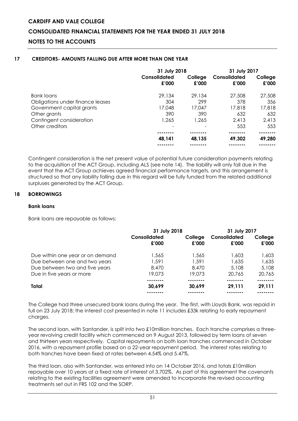# **CARDIFF AND VALE COLLEGE CONSOLIDATED FINANCIAL STATEMENTS FOR THE YEAR ENDED 31 JULY 2018 NOTES TO THE ACCOUNTS**

#### **17 CREDITORS- AMOUNTS FALLING DUE AFTER MORE THAN ONE YEAR**

|                                  | 31 July 2018          |                  | 31 July 2017          |                  |
|----------------------------------|-----------------------|------------------|-----------------------|------------------|
|                                  | Consolidated<br>£'000 | College<br>£'000 | Consolidated<br>£'000 | College<br>£'000 |
| Bank loans                       | 29,134                | 29.134           | 27,508                | 27,508           |
| Obligations under finance leases | 304                   | 299              | 378                   | 356              |
| Government capital grants        | 17.048                | 17.047           | 17.818                | 17,818           |
| Other grants                     | 390                   | 390              | 632                   | 632              |
| Contingent consideration         | 1,265                 | 1,265            | 2,413                 | 2,413            |
| Other creditors                  |                       |                  | 553                   | 553              |
|                                  |                       |                  |                       |                  |
|                                  | 48,141                | 48,135           | 49,302                | 49,280           |
|                                  |                       |                  |                       |                  |

Contingent consideration is the net present value of potential future consideration payments relating to the acquisition of the ACT Group, including ALS (see note 14). The liability will only fall due in the event that the ACT Group achieves agreed financial performance targets, and this arrangement is structured so that any liability falling due in this regard will be fully funded from the related additional surpluses generated by the ACT Group.

#### **18 BORROWINGS**

#### **Bank loans**

Bank loans are repayable as follows:

|                                  | 31 July 2018          |                  | 31 July 2017          |                  |
|----------------------------------|-----------------------|------------------|-----------------------|------------------|
|                                  | Consolidated<br>£'000 | College<br>£'000 | Consolidated<br>£'000 | College<br>£'000 |
| Due within one year or on demand | 1,565                 | 1,565            | 1,603                 | 1,603            |
| Due between one and two years    | 1,591                 | 1,591            | 1,635                 | 1,635            |
| Due between two and five years   | 8,470                 | 8,470            | 5,108                 | 5,108            |
| Due in five years or more        | 19,073                | 19,073           | 20,765                | 20,765           |
| Total                            | 30,699                |                  | 29.111                | 29.111           |
|                                  |                       | 30,699           |                       |                  |

The College had three unsecured bank loans during the year. The first, with Lloyds Bank, was repaid in full on 23 July 2018; the interest cost presented in note 11 includes £33k relating to early repayment charges.

The second loan, with Santander, is split into two £10million tranches. Each tranche comprises a threeyear revolving credit facility which commenced on 9 August 2013, followed by term loans of seven and thirteen years respectively. Capital repayments on both loan tranches commenced in October 2016, with a repayment profile based on a 22-year repayment period. The interest rates relating to both tranches have been fixed at rates between 4.54% and 5.47%.

The third loan, also with Santander, was entered into on 14 October 2016, and totals £10million repayable over 10 years at a fixed rate of interest of 3.702%. As part of this agreement the covenants relating to the existing facilities agreement were amended to incorporate the revised accounting treatments set out in FRS 102 and the SORP.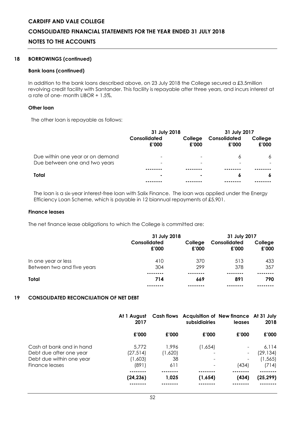#### **CONSOLIDATED FINANCIAL STATEMENTS FOR THE YEAR ENDED 31 JULY 2018**

#### **NOTES TO THE ACCOUNTS**

#### **18 BORROWINGS (continued)**

#### **Bank loans (continued)**

In addition to the bank loans described above, on 23 July 2018 the College secured a £3.5million revolving credit facility with Santander. This facility is repayable after three years, and incurs interest at a rate of one- month LIBOR + 1.5%.

### **Other loan**

The other loan is repayable as follows:

|                                  | 31 July 2018          |                          | 31 July 2017          |                  |
|----------------------------------|-----------------------|--------------------------|-----------------------|------------------|
|                                  | Consolidated<br>£'000 | College<br>£'000         | Consolidated<br>£'000 | College<br>£'000 |
| Due within one year or on demand |                       | $\overline{\phantom{a}}$ | 6                     | 6                |
| Due between one and two years    |                       | $\qquad \qquad$          |                       |                  |
|                                  |                       |                          |                       |                  |
| Total                            |                       | ۰                        | 6                     | 6                |
|                                  |                       |                          |                       |                  |

The loan is a six-year interest-free loan with Salix Finance. The loan was applied under the Energy Efficiency Loan Scheme, which is payable in 12 biannual repayments of £5,901.

#### **Finance leases**

The net finance lease obligations to which the College is committed are:

|                            | 31 July 2018          |                  | 31 July 2017          |                  |
|----------------------------|-----------------------|------------------|-----------------------|------------------|
|                            | Consolidated<br>£'000 | College<br>£'000 | Consolidated<br>£'000 | College<br>£'000 |
| In one year or less        | 410                   | 370              | 513                   | 433              |
| Between two and five years | 304                   | 299              | 378                   | 357              |
|                            |                       |                  |                       |                  |
| Total                      | 714                   | 669              | 891                   | 790              |
|                            |                       |                  |                       |                  |

#### **19 CONSOLIDATED RECONCILIATION OF NET DEBT**

|                                                                                                   | At 1 August<br>2017                    |                               | Cash flows Acquisition of New finance At 31 July<br>subsidiairies | leases | 2018                                    |
|---------------------------------------------------------------------------------------------------|----------------------------------------|-------------------------------|-------------------------------------------------------------------|--------|-----------------------------------------|
|                                                                                                   | £'000                                  | £'000                         | £'000                                                             | £'000  | £'000                                   |
| Cash at bank and in hand<br>Debt due after one year<br>Debt due within one year<br>Finance leases | 5,772<br>(27, 514)<br>(1,603)<br>(891) | 1,996<br>(1,620)<br>38<br>611 | (1,654)                                                           | (434)  | 6.114<br>(29, 134)<br>(1, 565)<br>(714) |
|                                                                                                   | (24, 236)                              | 1.025                         | (1,654)                                                           | (434)  | (25, 299)                               |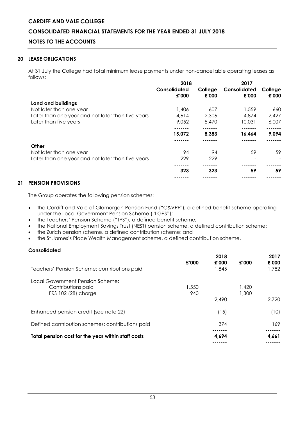# **CONSOLIDATED FINANCIAL STATEMENTS FOR THE YEAR ENDED 31 JULY 2018**

# **NOTES TO THE ACCOUNTS**

#### **20 LEASE OBLIGATIONS**

At 31 July the College had total minimum lease payments under non-cancellable operating leases as follows:

|                                                   | 2018                  |                  | 2017                  |                  |
|---------------------------------------------------|-----------------------|------------------|-----------------------|------------------|
|                                                   | Consolidated<br>£'000 | College<br>£'000 | Consolidated<br>£'000 | College<br>£'000 |
| Land and buildings                                |                       |                  |                       |                  |
| Not later than one year                           | 1,406                 | 607              | 1,559                 | 660              |
| Later than one year and not later than five years | 4,614                 | 2,306            | 4,874                 | 2,427            |
| Later than five years                             | 9,052                 | 5,470            | 10,031                | 6,007            |
|                                                   |                       |                  |                       |                  |
|                                                   | 15,072                | 8,383            | 16,464                | 9,094            |
|                                                   |                       |                  |                       |                  |
| Other                                             |                       |                  |                       |                  |
| Not later than one year                           | 94                    | 94               | 59                    | 59               |
| Later than one year and not later than five years | 229                   | 229              |                       |                  |
|                                                   |                       |                  |                       |                  |
|                                                   | 323                   | 323              | 59                    | 59               |
|                                                   |                       |                  |                       |                  |

#### **21 PENSION PROVISIONS**

The Group operates the following pension schemes:

- the Cardiff and Vale of Glamorgan Pension Fund ("C&VPF"), a defined benefit scheme operating under the Local Government Pension Scheme ("LGPS");
- the Teachers' Pension Scheme ("TPS"), a defined benefit scheme;
- the National Employment Savings Trust (NEST) pension scheme, a defined contribution scheme;
- the Zurich pension scheme, a defined contribution scheme; and
- the St James's Place Wealth Management scheme, a defined contribution scheme.

#### **Consolidated**

|                                                                               |              | 2018           |                | 2017           |
|-------------------------------------------------------------------------------|--------------|----------------|----------------|----------------|
| Teachers' Pension Scheme: contributions paid                                  | £'000        | £'000<br>1,845 | £'000          | £'000<br>1,782 |
| Local Government Pension Scheme:<br>Contributions paid<br>FRS 102 (28) charge | 1,550<br>940 | 2,490          | 1,420<br>1,300 | 2.720          |
| Enhanced pension credit (see note 22)                                         |              | (15)           |                | (10)           |
| Defined contribution schemes: contributions paid                              |              | 374            |                | 169            |
| Total pension cost for the year within staff costs                            |              | 4,694          |                | 4,661          |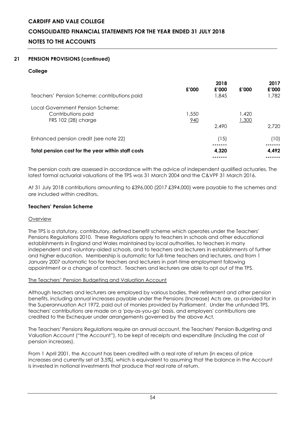# **CONSOLIDATED FINANCIAL STATEMENTS FOR THE YEAR ENDED 31 JULY 2018**

# **NOTES TO THE ACCOUNTS**

# **21 PENSION PROVISIONS (continued)**

# **College**

|                                                                               | £'000        | 2018<br>£'000 | £'000          | 2017<br>£'000 |
|-------------------------------------------------------------------------------|--------------|---------------|----------------|---------------|
| Teachers' Pension Scheme: contributions paid                                  |              | 1,845         |                | 1,782         |
| Local Government Pension Scheme:<br>Contributions paid<br>FRS 102 (28) charge | 1,550<br>940 |               | 1,420<br>1,300 |               |
|                                                                               |              | 2,490         |                | 2.720         |
| Enhanced pension credit (see note 22)                                         |              | (15)          |                | (10)          |
| Total pension cost for the year within staff costs                            |              | 4,320         |                | 4,492         |

The pension costs are assessed in accordance with the advice of independent qualified actuaries. The latest formal actuarial valuations of the TPS was 31 March 2004 and the C&VPF 31 March 2016.

At 31 July 2018 contributions amounting to £396,000 (2017 £394,000) were payable to the schemes and are included within creditors.

#### **Teachers' Pension Scheme**

# **Overview**

The TPS is a statutory, contributory, defined benefit scheme which operates under the Teachers' Pensions Regulations 2010. These Regulations apply to teachers in schools and other educational establishments in England and Wales maintained by local authorities, to teachers in many independent and voluntary-aided schools, and to teachers and lecturers in establishments of further and higher education. Membership is automatic for full-time teachers and lecturers, and from 1 January 2007 automatic too for teachers and lecturers in part-time employment following appointment or a change of contract. Teachers and lecturers are able to opt out of the TPS.

# The Teachers' Pension Budgeting and Valuation Account

Although teachers and lecturers are employed by various bodies, their retirement and other pension benefits, including annual increases payable under the Pensions (Increase) Acts are, as provided for in the Superannuation Act 1972, paid out of monies provided by Parliament. Under the unfunded TPS, teachers' contributions are made on a 'pay-as-you-go' basis, and employers' contributions are credited to the Exchequer under arrangements governed by the above Act.

The Teachers' Pensions Regulations require an annual account, the Teachers' Pension Budgeting and Valuation Account ("the Account"), to be kept of receipts and expenditure (including the cost of pension increases).

From 1 April 2001, the Account has been credited with a real rate of return (in excess of price increases and currently set at 3.5%), which is equivalent to assuming that the balance in the Account is invested in notional investments that produce that real rate of return.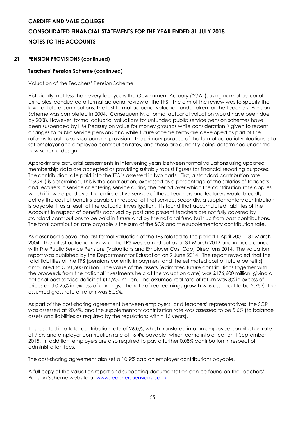# **CONSOLIDATED FINANCIAL STATEMENTS FOR THE YEAR ENDED 31 JULY 2018**

**NOTES TO THE ACCOUNTS**

#### **21 PENSION PROVISIONS (continued)**

#### **Teachers' Pension Scheme (continued)**

#### Valuation of the Teachers' Pension Scheme

Historically, not less than every four years the Government Actuary ("GA"), using normal actuarial principles, conducted a formal actuarial review of the TPS. The aim of the review was to specify the level of future contributions. The last formal actuarial valuation undertaken for the Teachers' Pension Scheme was completed in 2004. Consequently, a formal actuarial valuation would have been due by 2008. However, formal actuarial valuations for unfunded public service pension schemes have been suspended by HM Treasury on value for money grounds while consideration is given to recent changes to public service pensions and while future scheme terms are developed as part of the reforms to public service pension provision. The primary purpose of the formal actuarial valuations is to set employer and employee contribution rates, and these are currently being determined under the new scheme design.

Approximate actuarial assessments in intervening years between formal valuations using updated membership data are accepted as providing suitably robust figures for financial reporting purposes. The contribution rate paid into the TPS is assessed in two parts. First, a standard contribution rate ("SCR") is determined. This is the contribution, expressed as a percentage of the salaries of teachers and lecturers in service or entering service during the period over which the contribution rate applies, which if it were paid over the entire active service of these teachers and lecturers would broadly defray the cost of benefits payable in respect of that service. Secondly, a supplementary contribution is payable if, as a result of the actuarial investigation, it is found that accumulated liabilities of the Account in respect of benefits accrued by past and present teachers are not fully covered by standard contributions to be paid in future and by the notional fund built up from past contributions. The total contribution rate payable is the sum of the SCR and the supplementary contribution rate.

As described above, the last formal valuation of the TPS related to the period 1 April 2001 - 31 March 2004. The latest actuarial review of the TPS was carried out as at 31 March 2012 and in accordance with The Public Service Pensions (Valuations and Employer Cost Cap) Directions 2014. The valuation report was published by the Department for Education on 9 June 2014. The report revealed that the total liabilities of the TPS (pensions currently in payment and the estimated cost of future benefits) amounted to £191,500 million. The value of the assets (estimated future contributions together with the proceeds from the notional investments held at the valuation date) was £176,600 million, giving a notional past service deficit of £14,900 million. The assumed real rate of return was 3% in excess of prices and 0.25% in excess of earnings. The rate of real earnings growth was assumed to be 2.75%. The assumed gross rate of return was 5.06%.

As part of the cost-sharing agreement between employers' and teachers' representatives, the SCR was assessed at 20.4%, and the supplementary contribution rate was assessed to be 5.6% (to balance assets and liabilities as required by the regulations within 15 years).

This resulted in a total contribution rate of 26.0%, which translated into an employee contribution rate of 9.6% and employer contribution rate of 16.4% payable, which came into effect on 1 September 2015. In addition, employers are also required to pay a further 0.08% contribution in respect of administration fees.

The cost-sharing agreement also set a 10.9% cap on employer contributions payable.

A full copy of the valuation report and supporting documentation can be found on the Teachers' Pension Scheme website at [www.teacherspensions.co.uk.](http://www.teacherspensions.co.uk/)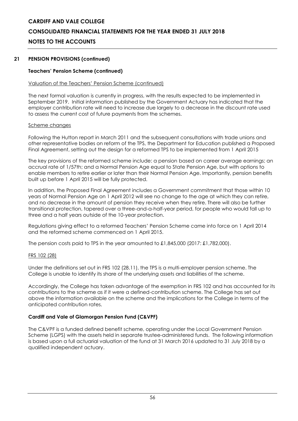# **CONSOLIDATED FINANCIAL STATEMENTS FOR THE YEAR ENDED 31 JULY 2018**

# **NOTES TO THE ACCOUNTS**

### **21 PENSION PROVISIONS (continued)**

### **Teachers' Pension Scheme (continued)**

#### Valuation of the Teachers' Pension Scheme (continued)

The next formal valuation is currently in progress, with the results expected to be implemented in September 2019. Initial information published by the Government Actuary has indicated that the employer contribution rate will need to increase due largely to a decrease in the discount rate used to assess the current cost of future payments from the schemes.

#### Scheme changes

Following the Hutton report in March 2011 and the subsequent consultations with trade unions and other representative bodies on reform of the TPS, the Department for Education published a Proposed Final Agreement, setting out the design for a reformed TPS to be implemented from 1 April 2015

The key provisions of the reformed scheme include: a pension based on career average earnings; an accrual rate of 1/57th; and a Normal Pension Age equal to State Pension Age, but with options to enable members to retire earlier or later than their Normal Pension Age. Importantly, pension benefits built up before 1 April 2015 will be fully protected.

In addition, the Proposed Final Agreement includes a Government commitment that those within 10 years of Normal Pension Age on 1 April 2012 will see no change to the age at which they can retire, and no decrease in the amount of pension they receive when they retire. There will also be further transitional protection, tapered over a three-and-a-half-year period, for people who would fall up to three and a half years outside of the 10-year protection.

Regulations giving effect to a reformed Teachers' Pension Scheme came into force on 1 April 2014 and the reformed scheme commenced on 1 April 2015.

The pension costs paid to TPS in the year amounted to £1,845,000 (2017: £1,782,000).

#### FRS 102 (28)

Under the definitions set out in FRS 102 (28.11), the TPS is a multi-employer pension scheme. The College is unable to identify its share of the underlying assets and liabilities of the scheme.

Accordingly, the College has taken advantage of the exemption in FRS 102 and has accounted for its contributions to the scheme as if it were a defined-contribution scheme. The College has set out above the information available on the scheme and the implications for the College in terms of the anticipated contribution rates.

# **Cardiff and Vale of Glamorgan Pension Fund (C&VPF)**

The C&VPF is a funded defined benefit scheme, operating under the Local Government Pension Scheme (LGPS) with the assets held in separate trustee-administered funds. The following information is based upon a full actuarial valuation of the fund at 31 March 2016 updated to 31 July 2018 by a qualified independent actuary.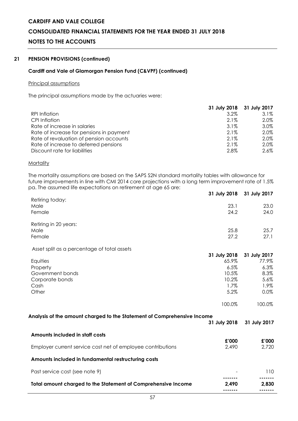# **CONSOLIDATED FINANCIAL STATEMENTS FOR THE YEAR ENDED 31 JULY 2018**

### **NOTES TO THE ACCOUNTS**

#### **21 PENSION PROVISIONS (continued)**

#### **Cardiff and Vale of Glamorgan Pension Fund (C&VPF) (continued)**

#### Principal assumptions

The principal assumptions made by the actuaries were:

| 31 July 2018 31 July 2017 |      |
|---------------------------|------|
| $3.2\%$                   | 3.1% |
| $2.1\%$                   | 2.0% |
| $3.1\%$                   | 3.0% |
| $2.1\%$                   | 2.0% |
| $2.1\%$                   | 2.0% |
| $2.1\%$                   | 2.0% |
| 2.8%                      | 2.6% |
|                           |      |

#### **Mortality**

The mortality assumptions are based on the SAPS S2N standard mortality tables with allowance for future improvements in line with CMI 2014 core projections with a long term improvement rate of 1.5% pa. The assumed life expectations on retirement at age 65 are:

|                       | 31 July 2018 31 July 2017 |      |
|-----------------------|---------------------------|------|
| Retiring today:       |                           |      |
| Male                  | 23.1                      | 23.0 |
| Female                | 24.2                      | 24.0 |
| Retiring in 20 years: |                           |      |
| Male                  | 25.8                      | 25.7 |
| Female                | 27.2                      | 27.1 |
|                       |                           |      |

Asset split as a percentage of total assets

| .                |         | 31 July 2018 31 July 2017 |
|------------------|---------|---------------------------|
| Equities         | 65.9%   | 77.9%                     |
| Property         | 6.5%    | 6.3%                      |
| Government bonds | 10.5%   | 8.3%                      |
| Corporate bonds  | 10.2%   | 5.6%                      |
| Cash             | $1.7\%$ | 1.9%                      |
| Other            | 5.2%    | 0.0%                      |
|                  | 100.0%  | 100.0%                    |

#### **Analysis of the amount charged to the Statement of Comprehensive Income**

|                                                               | 31 July 2018 | 31 July 2017 |
|---------------------------------------------------------------|--------------|--------------|
| Amounts included in staff costs                               |              |              |
|                                                               | £'000        | £'000        |
| Employer current service cost net of employee contributions   | 2,490        | 2,720        |
| Amounts included in fundamental restructuring costs           |              |              |
| Past service cost (see note 9)                                |              | 110          |
|                                                               |              |              |
| Total amount charged to the Statement of Comprehensive Income | 2.490        | 2,830        |
|                                                               |              |              |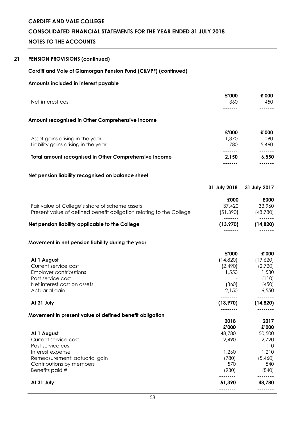# **CONSOLIDATED FINANCIAL STATEMENTS FOR THE YEAR ENDED 31 JULY 2018**

# **NOTES TO THE ACCOUNTS**

### **21 PENSION PROVISIONS (continued)**

#### **Cardiff and Vale of Glamorgan Pension Fund (C&VPF) (continued)**

#### **Amounts included in interest payable**

|                                                              | £'000 | £'000 |
|--------------------------------------------------------------|-------|-------|
| Net interest cost                                            | 360   | 450   |
|                                                              |       |       |
| Amount recognised in Other Comprehensive Income              |       |       |
|                                                              | £'000 | £'000 |
| Asset gains arising in the year                              | 1,370 | 1,090 |
| Liability gains arising in the year                          | 780   | 5,460 |
|                                                              |       |       |
| <b>Total amount recognised in Other Comprehensive Income</b> | 2.150 | 6.550 |

**------- -------**

#### **Net pension liability recognised on balance sheet**

|                                                                     | 31 July 2018 | 31 July 2017 |
|---------------------------------------------------------------------|--------------|--------------|
|                                                                     | £000         | £000         |
| Fair value of College's share of scheme assets                      | 37.420       | 33,960       |
| Present value of defined benefit obligation relating to the College | (51, 390)    | (48,780)     |
|                                                                     |              |              |
| Net pension liability applicable to the College                     | (13,970)     | (14, 820)    |
|                                                                     |              |              |

#### **Movement in net pension liability during the year**

|                                                         | £'000     | £'000     |
|---------------------------------------------------------|-----------|-----------|
| At 1 August                                             | (14,820)  | (19,620)  |
| Current service cost                                    | (2,490)   | (2,720)   |
| <b>Employer contributions</b>                           | 1,550     | 1,530     |
| Past service cost                                       |           | (110)     |
| Net interest cost on assets                             | (360)     | (450)     |
| Actuarial gain                                          | 2,150     | 6,550     |
|                                                         |           |           |
| At 31 July                                              | (13, 970) | (14, 820) |
|                                                         |           |           |
| Movement in present value of defined benefit obligation |           |           |
|                                                         | 2018      | 2017      |
|                                                         | £'000     | £'000     |
| At 1 August                                             | 48,780    | 50,500    |
| Current service cost                                    | 2,490     | 2,720     |
| Past service cost                                       |           | 110       |
| Interest expense                                        | 1,260     | 1,210     |
| Remeasurement: actuarial gain                           | (780)     | (5,460)   |
| Contributions by members                                | 570       | 540       |
| Benefits paid #                                         | (930)     | (840)     |
|                                                         |           |           |
| At 31 July                                              | 51,390    | 48,780    |
|                                                         |           |           |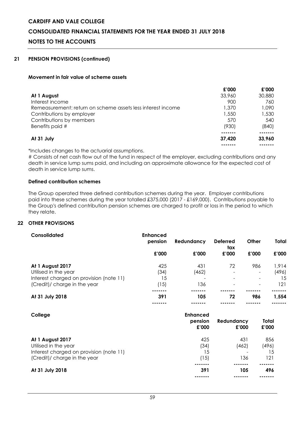# **CONSOLIDATED FINANCIAL STATEMENTS FOR THE YEAR ENDED 31 JULY 2018**

# **NOTES TO THE ACCOUNTS**

#### **21 PENSION PROVISIONS (continued)**

#### **Movement in fair value of scheme assets**

|                                                             | £'000  | £'000  |
|-------------------------------------------------------------|--------|--------|
| At 1 August                                                 | 33,960 | 30,880 |
| Interest income                                             | 900    | 760    |
| Remeasurement: return on scheme assets less interest income | 1,370  | 1,090  |
| Contributions by employer                                   | 1,550  | 1,530  |
| Contributions by members                                    | 570    | 540    |
| Benefits paid #                                             | (930)  | (840)  |
|                                                             |        |        |
| At 31 July                                                  | 37,420 | 33,960 |
|                                                             |        |        |

\*Includes changes to the actuarial assumptions.

# Consists of net cash flow out of the fund in respect of the employer, excluding contributions and any death in service lump sums paid, and including an approximate allowance for the expected cost of death in service lump sums.

#### **Defined contribution schemes**

The Group operated three defined contribution schemes during the year. Employer contributions paid into these schemes during the year totalled £375,000 (2017 - £169,000). Contributions payable to the Group's defined contribution pension schemes are charged to profit or loss in the period to which they relate.

# **22 OTHER PROVISIONS**

| Consolidated                            | <b>Enhanced</b> |            | <b>Deferred</b><br>tax   | Other                        | Total |
|-----------------------------------------|-----------------|------------|--------------------------|------------------------------|-------|
|                                         | pension         | Redundancy |                          |                              |       |
|                                         | £'000           | £'000      | £'000                    | £'000                        | £'000 |
| At 1 August 2017                        | 425             | 431        | 72                       | 986                          | 1,914 |
| Utilised in the year                    | (34)            | (462)      | -                        | $\overline{\phantom{a}}$     | (496) |
| Interest charged on provision (note 11) | 15              |            | $\overline{\phantom{0}}$ | $\overline{\phantom{a}}$     | 15    |
| (Credit)/ charge in the year            | (15)            | 136        |                          | $\qquad \qquad \blacksquare$ | 121   |
|                                         |                 |            |                          |                              |       |
| At 31 July 2018                         | 391             | 105        | 72                       | 986                          | 1,554 |
|                                         |                 |            |                          |                              |       |

| College                                                                                                             | <b>Enhanced</b><br>pension<br>£'000 | Redundancy<br>£'000 | Total<br>£'000            |
|---------------------------------------------------------------------------------------------------------------------|-------------------------------------|---------------------|---------------------------|
| At 1 August 2017<br>Utilised in the year<br>Interest charged on provision (note 11)<br>(Credit)/ charge in the year | 425<br>(34)<br>15<br>(15)           | 431<br>(462)<br>136 | 856<br>(496)<br>15<br>121 |
| At 31 July 2018                                                                                                     | 391                                 | 105                 | 496                       |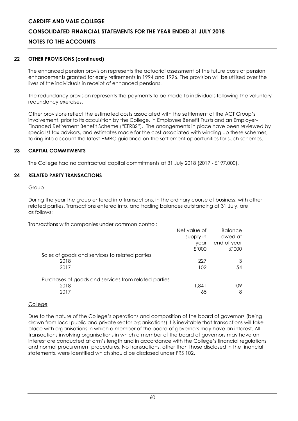# **CONSOLIDATED FINANCIAL STATEMENTS FOR THE YEAR ENDED 31 JULY 2018**

# **NOTES TO THE ACCOUNTS**

#### **22 OTHER PROVISIONS (continued)**

The enhanced pension provision represents the actuarial assessment of the future costs of pension enhancements granted for early retirements in 1994 and 1996. The provision will be utilised over the lives of the individuals in receipt of enhanced pensions.

The redundancy provision represents the payments to be made to individuals following the voluntary redundancy exercises.

Other provisions reflect the estimated costs associated with the settlement of the ACT Group's involvement, prior to its acquisition by the College, in Employee Benefit Trusts and an Employer-Financed Retirement Benefit Scheme ("EFRBS"). The arrangements in place have been reviewed by specialist tax advisors, and estimates made for the cost associated with winding up these schemes, taking into account the latest HMRC guidance on the settlement opportunities for such schemes.

#### **23 CAPITAL COMMITMENTS**

The College had no contractual capital commitments at 31 July 2018 (2017 - £197,000).

#### **24 RELATED PARTY TRANSACTIONS**

#### Group

During the year the group entered into transactions, in the ordinary course of business, with other related parties. Transactions entered into, and trading balances outstanding at 31 July, are as follows:

Transactions with companies under common control:

|                                                      | Net value of | <b>Balance</b> |
|------------------------------------------------------|--------------|----------------|
|                                                      | supply in    | owed at        |
|                                                      | year         | end of year    |
|                                                      | £'000        | 000'           |
| Sales of goods and services to related parties       |              |                |
| 2018                                                 | 227          | 3              |
| 2017                                                 | 102          | 54             |
| Purchases of goods and services from related parties |              |                |
| 2018                                                 | 1.841        | 109            |
| 2017                                                 | 65           | 8              |

#### **College**

Due to the nature of the College's operations and composition of the board of governors (being drawn from local public and private sector organisations) it is inevitable that transactions will take place with organisations in which a member of the board of governors may have an interest. All transactions involving organisations in which a member of the board of governors may have an interest are conducted at arm's length and in accordance with the College's financial regulations and normal procurement procedures. No transactions, other than those disclosed in the financial statements, were identified which should be disclosed under FRS 102.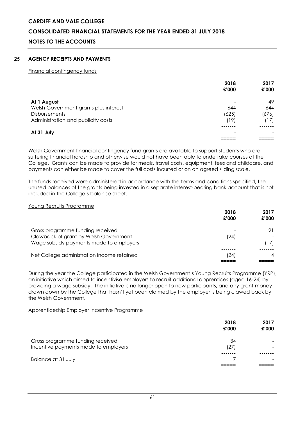# **CARDIFF AND VALE COLLEGE CONSOLIDATED FINANCIAL STATEMENTS FOR THE YEAR ENDED 31 JULY 2018 NOTES TO THE ACCOUNTS**

#### **25 AGENCY RECEIPTS AND PAYMENTS**

Financial contingency funds

|                                       | 2018<br>£'000            | 2017<br>£'000 |
|---------------------------------------|--------------------------|---------------|
| At 1 August                           | $\qquad \qquad$          | 49            |
| Welsh Government grants plus interest | 644                      | 644           |
| <b>Disbursements</b>                  | (625)                    | (676)         |
| Administration and publicity costs    | (19)                     | (17)          |
|                                       |                          |               |
| At 31 July                            | $\overline{\phantom{a}}$ |               |
|                                       |                          |               |

Welsh Government financial contingency fund grants are available to support students who are suffering financial hardship and otherwise would not have been able to undertake courses at the College. Grants can be made to provide for meals, travel costs, equipment, fees and childcare, and payments can either be made to cover the full costs incurred or on an agreed sliding scale.

The funds received were administered in accordance with the terms and conditions specified, the unused balances of the grants being invested in a separate interest-bearing bank account that is not included in the College's balance sheet.

#### Young Recruits Programme

| 2018<br>£'000                                                                                                                | 2017<br>£'000  |
|------------------------------------------------------------------------------------------------------------------------------|----------------|
| Gross programme funding received<br>Clawback of grant by Welsh Government<br>(24)<br>Wage subsidy payments made to employers | 21<br>(17)     |
| Net College administration income retained<br>(24)                                                                           | $\overline{4}$ |

During the year the College participated in the Welsh Government's Young Recruits Programme (YRP), an initiative which aimed to incentivise employers to recruit additional apprentices (aged 16-24) by providing a wage subsidy. The initiative is no longer open to new participants, and any grant money drawn down by the College that hasn't yet been claimed by the employer is being clawed back by the Welsh Government.

#### Apprenticeship Employer Incentive Programme

|                                                                          | 2018<br>£'000 | 2017<br>£'000 |
|--------------------------------------------------------------------------|---------------|---------------|
| Gross programme funding received<br>Incentive payments made to employers | 34<br>(27     |               |
| Balance at 31 July                                                       |               |               |
|                                                                          |               |               |